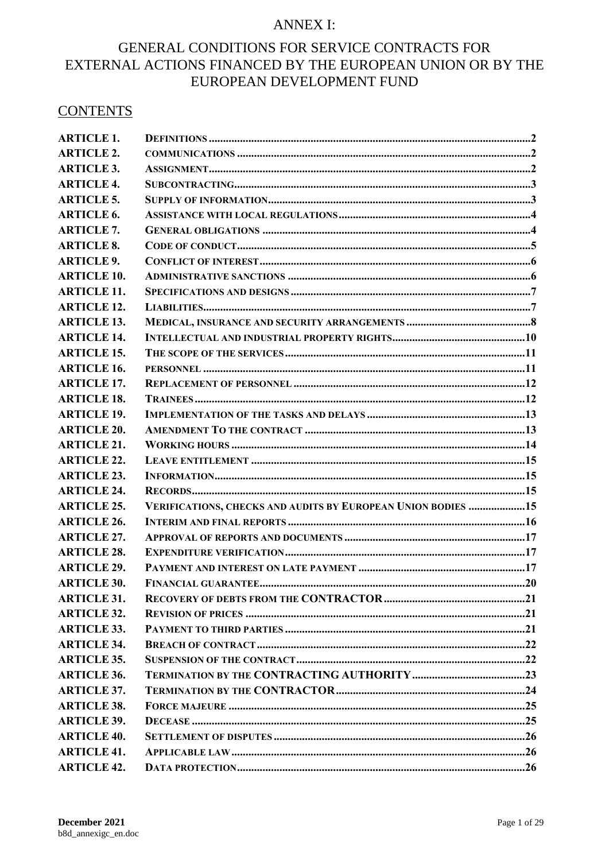# **ANNEX I:**

# GENERAL CONDITIONS FOR SERVICE CONTRACTS FOR EXTERNAL ACTIONS FINANCED BY THE EUROPEAN UNION OR BY THE EUROPEAN DEVELOPMENT FUND

# **CONTENTS**

| <b>ARTICLE 1.</b>  |                                                              |  |
|--------------------|--------------------------------------------------------------|--|
| <b>ARTICLE 2.</b>  |                                                              |  |
| <b>ARTICLE 3.</b>  |                                                              |  |
| <b>ARTICLE 4.</b>  |                                                              |  |
| <b>ARTICLE 5.</b>  |                                                              |  |
| <b>ARTICLE 6.</b>  |                                                              |  |
| <b>ARTICLE 7.</b>  |                                                              |  |
| <b>ARTICLE 8.</b>  |                                                              |  |
| <b>ARTICLE 9.</b>  |                                                              |  |
| <b>ARTICLE 10.</b> |                                                              |  |
| <b>ARTICLE 11.</b> |                                                              |  |
| <b>ARTICLE 12.</b> |                                                              |  |
| <b>ARTICLE 13.</b> |                                                              |  |
| <b>ARTICLE 14.</b> |                                                              |  |
| <b>ARTICLE 15.</b> |                                                              |  |
| <b>ARTICLE 16.</b> |                                                              |  |
| <b>ARTICLE 17.</b> |                                                              |  |
| <b>ARTICLE 18.</b> |                                                              |  |
| <b>ARTICLE 19.</b> |                                                              |  |
| <b>ARTICLE 20.</b> |                                                              |  |
| <b>ARTICLE 21.</b> |                                                              |  |
| <b>ARTICLE 22.</b> |                                                              |  |
| <b>ARTICLE 23.</b> |                                                              |  |
| <b>ARTICLE 24.</b> |                                                              |  |
| <b>ARTICLE 25.</b> | VERIFICATIONS, CHECKS AND AUDITS BY EUROPEAN UNION BODIES 15 |  |
| <b>ARTICLE 26.</b> |                                                              |  |
| <b>ARTICLE 27.</b> |                                                              |  |
| <b>ARTICLE 28.</b> |                                                              |  |
| <b>ARTICLE 29.</b> |                                                              |  |
| <b>ARTICLE 30.</b> |                                                              |  |
| <b>ARTICLE 31.</b> |                                                              |  |
| <b>ARTICLE 32.</b> |                                                              |  |
| <b>ARTICLE 33.</b> |                                                              |  |
| <b>ARTICLE 34.</b> |                                                              |  |
| <b>ARTICLE 35.</b> |                                                              |  |
| <b>ARTICLE 36.</b> |                                                              |  |
| <b>ARTICLE 37.</b> |                                                              |  |
| <b>ARTICLE 38.</b> |                                                              |  |
| <b>ARTICLE 39.</b> |                                                              |  |
| <b>ARTICLE 40.</b> |                                                              |  |
| <b>ARTICLE 41.</b> |                                                              |  |
| <b>ARTICLE 42.</b> |                                                              |  |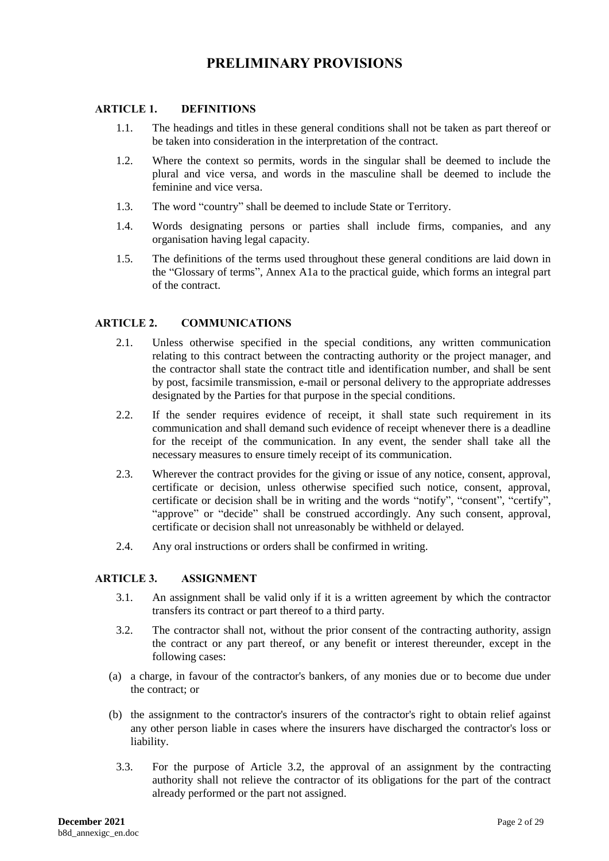# **PRELIMINARY PROVISIONS**

## <span id="page-1-0"></span>**ARTICLE 1. DEFINITIONS**

- 1.1. The headings and titles in these general conditions shall not be taken as part thereof or be taken into consideration in the interpretation of the contract.
- 1.2. Where the context so permits, words in the singular shall be deemed to include the plural and vice versa, and words in the masculine shall be deemed to include the feminine and vice versa.
- 1.3. The word "country" shall be deemed to include State or Territory.
- 1.4. Words designating persons or parties shall include firms, companies, and any organisation having legal capacity.
- 1.5. The definitions of the terms used throughout these general conditions are laid down in the "Glossary of terms", Annex A1a to the practical guide, which forms an integral part of the contract.

### <span id="page-1-1"></span>**ARTICLE 2. COMMUNICATIONS**

- 2.1. Unless otherwise specified in the special conditions, any written communication relating to this contract between the contracting authority or the project manager, and the contractor shall state the contract title and identification number, and shall be sent by post, facsimile transmission, e-mail or personal delivery to the appropriate addresses designated by the Parties for that purpose in the special conditions.
- 2.2. If the sender requires evidence of receipt, it shall state such requirement in its communication and shall demand such evidence of receipt whenever there is a deadline for the receipt of the communication. In any event, the sender shall take all the necessary measures to ensure timely receipt of its communication.
- 2.3. Wherever the contract provides for the giving or issue of any notice, consent, approval, certificate or decision, unless otherwise specified such notice, consent, approval, certificate or decision shall be in writing and the words "notify", "consent", "certify", "approve" or "decide" shall be construed accordingly. Any such consent, approval, certificate or decision shall not unreasonably be withheld or delayed.
- 2.4. Any oral instructions or orders shall be confirmed in writing.

#### <span id="page-1-2"></span>**ARTICLE 3. ASSIGNMENT**

- 3.1. An assignment shall be valid only if it is a written agreement by which the contractor transfers its contract or part thereof to a third party.
- 3.2. The contractor shall not, without the prior consent of the contracting authority, assign the contract or any part thereof, or any benefit or interest thereunder, except in the following cases:
- (a) a charge, in favour of the contractor's bankers, of any monies due or to become due under the contract; or
- (b) the assignment to the contractor's insurers of the contractor's right to obtain relief against any other person liable in cases where the insurers have discharged the contractor's loss or liability.
	- 3.3. For the purpose of Article 3.2, the approval of an assignment by the contracting authority shall not relieve the contractor of its obligations for the part of the contract already performed or the part not assigned.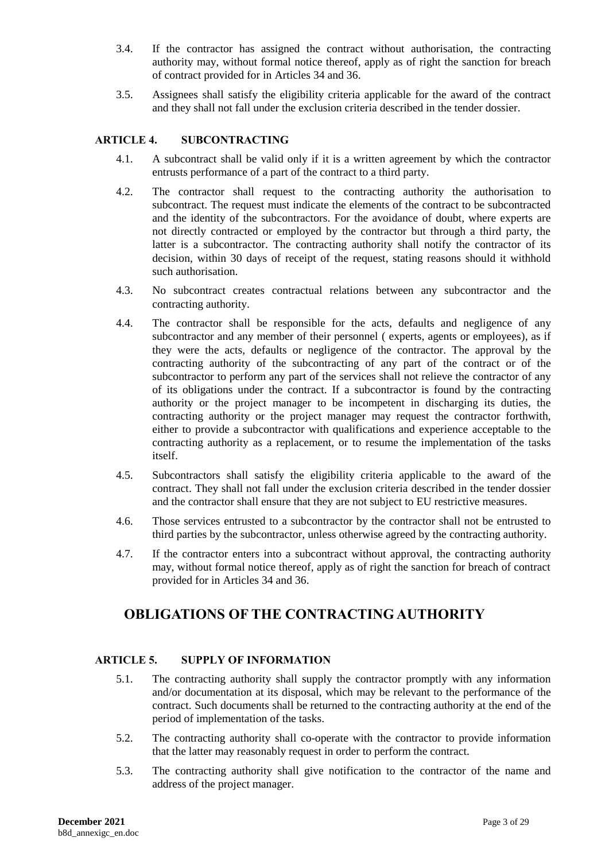- 3.4. If the contractor has assigned the contract without authorisation, the contracting authority may, without formal notice thereof, apply as of right the sanction for breach of contract provided for in Articles 34 and 36.
- 3.5. Assignees shall satisfy the eligibility criteria applicable for the award of the contract and they shall not fall under the exclusion criteria described in the tender dossier.

# <span id="page-2-0"></span>**ARTICLE 4. SUBCONTRACTING**

- 4.1. A subcontract shall be valid only if it is a written agreement by which the contractor entrusts performance of a part of the contract to a third party.
- 4.2. The contractor shall request to the contracting authority the authorisation to subcontract. The request must indicate the elements of the contract to be subcontracted and the identity of the subcontractors. For the avoidance of doubt, where experts are not directly contracted or employed by the contractor but through a third party, the latter is a subcontractor. The contracting authority shall notify the contractor of its decision, within 30 days of receipt of the request, stating reasons should it withhold such authorisation.
- 4.3. No subcontract creates contractual relations between any subcontractor and the contracting authority.
- 4.4. The contractor shall be responsible for the acts, defaults and negligence of any subcontractor and any member of their personnel ( experts, agents or employees), as if they were the acts, defaults or negligence of the contractor. The approval by the contracting authority of the subcontracting of any part of the contract or of the subcontractor to perform any part of the services shall not relieve the contractor of any of its obligations under the contract. If a subcontractor is found by the contracting authority or the project manager to be incompetent in discharging its duties, the contracting authority or the project manager may request the contractor forthwith, either to provide a subcontractor with qualifications and experience acceptable to the contracting authority as a replacement, or to resume the implementation of the tasks itself.
- 4.5. Subcontractors shall satisfy the eligibility criteria applicable to the award of the contract. They shall not fall under the exclusion criteria described in the tender dossier and the contractor shall ensure that they are not subject to EU restrictive measures.
- 4.6. Those services entrusted to a subcontractor by the contractor shall not be entrusted to third parties by the subcontractor, unless otherwise agreed by the contracting authority.
- 4.7. If the contractor enters into a subcontract without approval, the contracting authority may, without formal notice thereof, apply as of right the sanction for breach of contract provided for in Articles 34 and 36.

# **OBLIGATIONS OF THE CONTRACTING AUTHORITY**

# <span id="page-2-1"></span>**ARTICLE 5. SUPPLY OF INFORMATION**

- 5.1. The contracting authority shall supply the contractor promptly with any information and/or documentation at its disposal, which may be relevant to the performance of the contract. Such documents shall be returned to the contracting authority at the end of the period of implementation of the tasks.
- 5.2. The contracting authority shall co-operate with the contractor to provide information that the latter may reasonably request in order to perform the contract.
- 5.3. The contracting authority shall give notification to the contractor of the name and address of the project manager.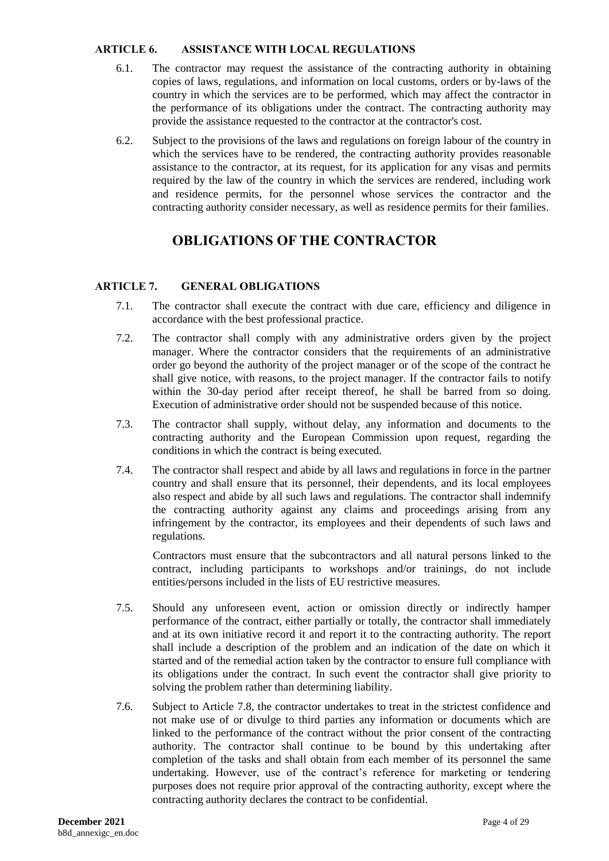#### <span id="page-3-0"></span>**ARTICLE 6. ASSISTANCE WITH LOCAL REGULATIONS**

- 6.1. The contractor may request the assistance of the contracting authority in obtaining copies of laws, regulations, and information on local customs, orders or by-laws of the country in which the services are to be performed, which may affect the contractor in the performance of its obligations under the contract. The contracting authority may provide the assistance requested to the contractor at the contractor's cost.
- 6.2. Subject to the provisions of the laws and regulations on foreign labour of the country in which the services have to be rendered, the contracting authority provides reasonable assistance to the contractor, at its request, for its application for any visas and permits required by the law of the country in which the services are rendered, including work and residence permits, for the personnel whose services the contractor and the contracting authority consider necessary, as well as residence permits for their families.

# **OBLIGATIONS OF THE CONTRACTOR**

# <span id="page-3-1"></span>**ARTICLE 7. GENERAL OBLIGATIONS**

- 7.1. The contractor shall execute the contract with due care, efficiency and diligence in accordance with the best professional practice.
- 7.2. The contractor shall comply with any administrative orders given by the project manager. Where the contractor considers that the requirements of an administrative order go beyond the authority of the project manager or of the scope of the contract he shall give notice, with reasons, to the project manager. If the contractor fails to notify within the 30-day period after receipt thereof, he shall be barred from so doing. Execution of administrative order should not be suspended because of this notice.
- 7.3. The contractor shall supply, without delay, any information and documents to the contracting authority and the European Commission upon request, regarding the conditions in which the contract is being executed.
- 7.4. The contractor shall respect and abide by all laws and regulations in force in the partner country and shall ensure that its personnel, their dependents, and its local employees also respect and abide by all such laws and regulations. The contractor shall indemnify the contracting authority against any claims and proceedings arising from any infringement by the contractor, its employees and their dependents of such laws and regulations.

Contractors must ensure that the subcontractors and all natural persons linked to the contract, including participants to workshops and/or trainings, do not include entities/persons included in the lists of EU restrictive measures.

- 7.5. Should any unforeseen event, action or omission directly or indirectly hamper performance of the contract, either partially or totally, the contractor shall immediately and at its own initiative record it and report it to the contracting authority. The report shall include a description of the problem and an indication of the date on which it started and of the remedial action taken by the contractor to ensure full compliance with its obligations under the contract. In such event the contractor shall give priority to solving the problem rather than determining liability.
- 7.6. Subject to Article 7.8, the contractor undertakes to treat in the strictest confidence and not make use of or divulge to third parties any information or documents which are linked to the performance of the contract without the prior consent of the contracting authority. The contractor shall continue to be bound by this undertaking after completion of the tasks and shall obtain from each member of its personnel the same undertaking. However, use of the contract's reference for marketing or tendering purposes does not require prior approval of the contracting authority, except where the contracting authority declares the contract to be confidential.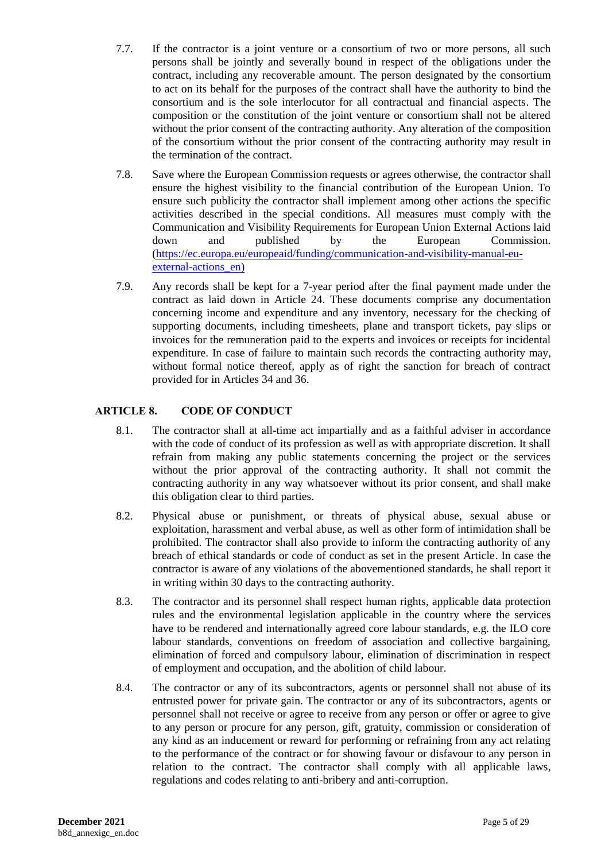- 7.7. If the contractor is a joint venture or a consortium of two or more persons, all such persons shall be jointly and severally bound in respect of the obligations under the contract, including any recoverable amount. The person designated by the consortium to act on its behalf for the purposes of the contract shall have the authority to bind the consortium and is the sole interlocutor for all contractual and financial aspects. The composition or the constitution of the joint venture or consortium shall not be altered without the prior consent of the contracting authority. Any alteration of the composition of the consortium without the prior consent of the contracting authority may result in the termination of the contract.
- 7.8. Save where the European Commission requests or agrees otherwise, the contractor shall ensure the highest visibility to the financial contribution of the European Union. To ensure such publicity the contractor shall implement among other actions the specific activities described in the special conditions. All measures must comply with the Communication and Visibility Requirements for European Union External Actions laid down and published by the European Commission. [\(https://ec.europa.eu/europeaid/funding/communication-and-visibility-manual-eu](https://ec.europa.eu/europeaid/funding/communication-and-visibility-manual-eu-external-actions_en)external-actions en)
- 7.9. Any records shall be kept for a 7-year period after the final payment made under the contract as laid down in Article 24. These documents comprise any documentation concerning income and expenditure and any inventory, necessary for the checking of supporting documents, including timesheets, plane and transport tickets, pay slips or invoices for the remuneration paid to the experts and invoices or receipts for incidental expenditure. In case of failure to maintain such records the contracting authority may, without formal notice thereof, apply as of right the sanction for breach of contract provided for in Articles 34 and 36.

# <span id="page-4-0"></span>**ARTICLE 8. CODE OF CONDUCT**

- 8.1. The contractor shall at all-time act impartially and as a faithful adviser in accordance with the code of conduct of its profession as well as with appropriate discretion. It shall refrain from making any public statements concerning the project or the services without the prior approval of the contracting authority. It shall not commit the contracting authority in any way whatsoever without its prior consent, and shall make this obligation clear to third parties.
- 8.2. Physical abuse or punishment, or threats of physical abuse, sexual abuse or exploitation, harassment and verbal abuse, as well as other form of intimidation shall be prohibited. The contractor shall also provide to inform the contracting authority of any breach of ethical standards or code of conduct as set in the present Article. In case the contractor is aware of any violations of the abovementioned standards, he shall report it in writing within 30 days to the contracting authority.
- 8.3. The contractor and its personnel shall respect human rights, applicable data protection rules and the environmental legislation applicable in the country where the services have to be rendered and internationally agreed core labour standards, e.g. the ILO core labour standards, conventions on freedom of association and collective bargaining, elimination of forced and compulsory labour, elimination of discrimination in respect of employment and occupation, and the abolition of child labour.
- 8.4. The contractor or any of its subcontractors, agents or personnel shall not abuse of its entrusted power for private gain. The contractor or any of its subcontractors, agents or personnel shall not receive or agree to receive from any person or offer or agree to give to any person or procure for any person, gift, gratuity, commission or consideration of any kind as an inducement or reward for performing or refraining from any act relating to the performance of the contract or for showing favour or disfavour to any person in relation to the contract. The contractor shall comply with all applicable laws, regulations and codes relating to anti-bribery and anti-corruption.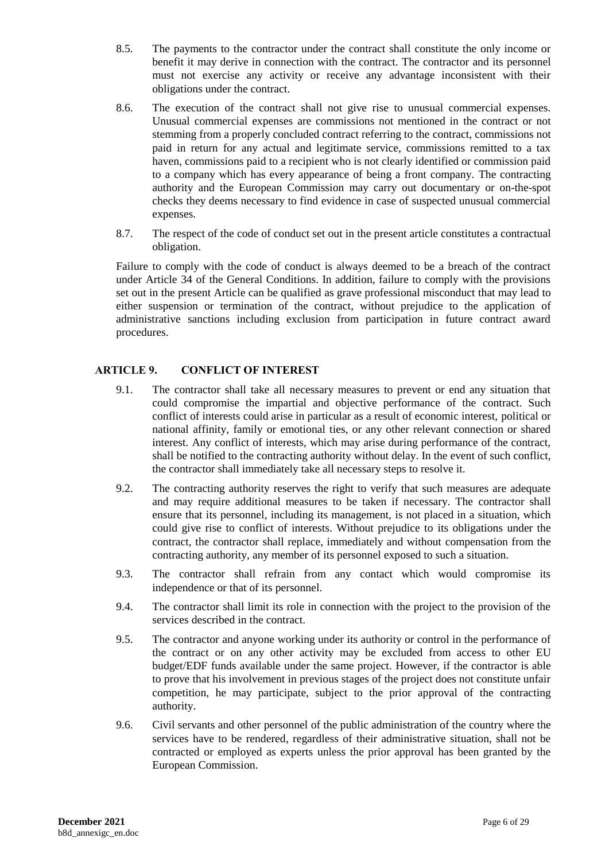- 8.5. The payments to the contractor under the contract shall constitute the only income or benefit it may derive in connection with the contract. The contractor and its personnel must not exercise any activity or receive any advantage inconsistent with their obligations under the contract.
- 8.6. The execution of the contract shall not give rise to unusual commercial expenses. Unusual commercial expenses are commissions not mentioned in the contract or not stemming from a properly concluded contract referring to the contract, commissions not paid in return for any actual and legitimate service, commissions remitted to a tax haven, commissions paid to a recipient who is not clearly identified or commission paid to a company which has every appearance of being a front company. The contracting authority and the European Commission may carry out documentary or on-the-spot checks they deems necessary to find evidence in case of suspected unusual commercial expenses.
- 8.7. The respect of the code of conduct set out in the present article constitutes a contractual obligation.

Failure to comply with the code of conduct is always deemed to be a breach of the contract under Article 34 of the General Conditions. In addition, failure to comply with the provisions set out in the present Article can be qualified as grave professional misconduct that may lead to either suspension or termination of the contract, without prejudice to the application of administrative sanctions including exclusion from participation in future contract award procedures.

# <span id="page-5-0"></span>**ARTICLE 9. CONFLICT OF INTEREST**

- 9.1. The contractor shall take all necessary measures to prevent or end any situation that could compromise the impartial and objective performance of the contract. Such conflict of interests could arise in particular as a result of economic interest, political or national affinity, family or emotional ties, or any other relevant connection or shared interest. Any conflict of interests, which may arise during performance of the contract, shall be notified to the contracting authority without delay. In the event of such conflict, the contractor shall immediately take all necessary steps to resolve it.
- 9.2. The contracting authority reserves the right to verify that such measures are adequate and may require additional measures to be taken if necessary. The contractor shall ensure that its personnel, including its management, is not placed in a situation, which could give rise to conflict of interests. Without prejudice to its obligations under the contract, the contractor shall replace, immediately and without compensation from the contracting authority, any member of its personnel exposed to such a situation.
- 9.3. The contractor shall refrain from any contact which would compromise its independence or that of its personnel.
- 9.4. The contractor shall limit its role in connection with the project to the provision of the services described in the contract.
- 9.5. The contractor and anyone working under its authority or control in the performance of the contract or on any other activity may be excluded from access to other EU budget/EDF funds available under the same project. However, if the contractor is able to prove that his involvement in previous stages of the project does not constitute unfair competition, he may participate, subject to the prior approval of the contracting authority.
- 9.6. Civil servants and other personnel of the public administration of the country where the services have to be rendered, regardless of their administrative situation, shall not be contracted or employed as experts unless the prior approval has been granted by the European Commission.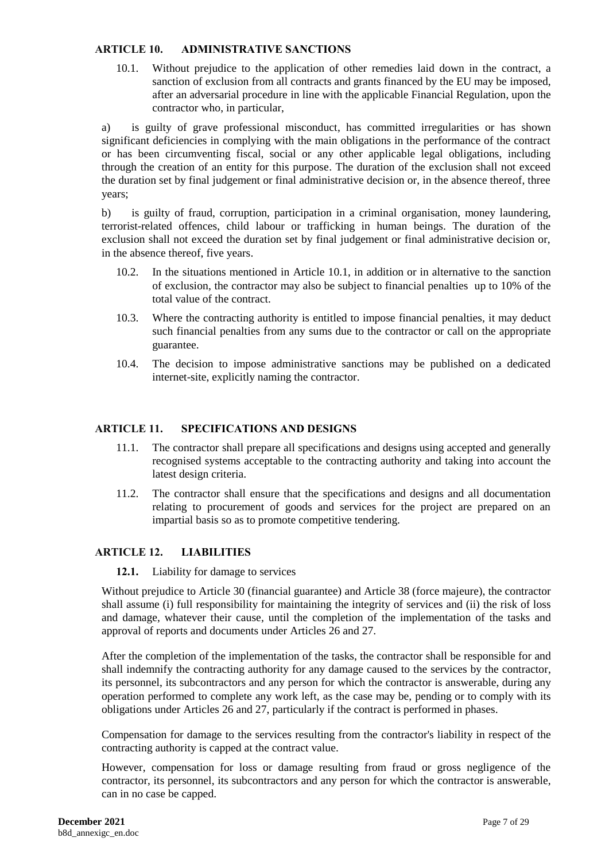#### <span id="page-6-0"></span>**ARTICLE 10. ADMINISTRATIVE SANCTIONS**

10.1. Without prejudice to the application of other remedies laid down in the contract, a sanction of exclusion from all contracts and grants financed by the EU may be imposed, after an adversarial procedure in line with the applicable Financial Regulation, upon the contractor who, in particular,

a) is guilty of grave professional misconduct, has committed irregularities or has shown significant deficiencies in complying with the main obligations in the performance of the contract or has been circumventing fiscal, social or any other applicable legal obligations, including through the creation of an entity for this purpose. The duration of the exclusion shall not exceed the duration set by final judgement or final administrative decision or, in the absence thereof, three years;

b) is guilty of fraud, corruption, participation in a criminal organisation, money laundering, terrorist-related offences, child labour or trafficking in human beings. The duration of the exclusion shall not exceed the duration set by final judgement or final administrative decision or, in the absence thereof, five years.

- 10.2. In the situations mentioned in Article 10.1, in addition or in alternative to the sanction of exclusion, the contractor may also be subject to financial penalties up to 10% of the total value of the contract.
- 10.3. Where the contracting authority is entitled to impose financial penalties, it may deduct such financial penalties from any sums due to the contractor or call on the appropriate guarantee.
- 10.4. The decision to impose administrative sanctions may be published on a dedicated internet-site, explicitly naming the contractor.

## <span id="page-6-1"></span>**ARTICLE 11. SPECIFICATIONS AND DESIGNS**

- 11.1. The contractor shall prepare all specifications and designs using accepted and generally recognised systems acceptable to the contracting authority and taking into account the latest design criteria.
- 11.2. The contractor shall ensure that the specifications and designs and all documentation relating to procurement of goods and services for the project are prepared on an impartial basis so as to promote competitive tendering.

# <span id="page-6-2"></span>**ARTICLE 12. LIABILITIES**

#### **12.1.** Liability for damage to services

Without prejudice to Article 30 (financial guarantee) and Article 38 (force majeure), the contractor shall assume (i) full responsibility for maintaining the integrity of services and (ii) the risk of loss and damage, whatever their cause, until the completion of the implementation of the tasks and approval of reports and documents under Articles 26 and 27.

After the completion of the implementation of the tasks, the contractor shall be responsible for and shall indemnify the contracting authority for any damage caused to the services by the contractor, its personnel, its subcontractors and any person for which the contractor is answerable, during any operation performed to complete any work left, as the case may be, pending or to comply with its obligations under Articles 26 and 27, particularly if the contract is performed in phases.

Compensation for damage to the services resulting from the contractor's liability in respect of the contracting authority is capped at the contract value.

However, compensation for loss or damage resulting from fraud or gross negligence of the contractor, its personnel, its subcontractors and any person for which the contractor is answerable, can in no case be capped.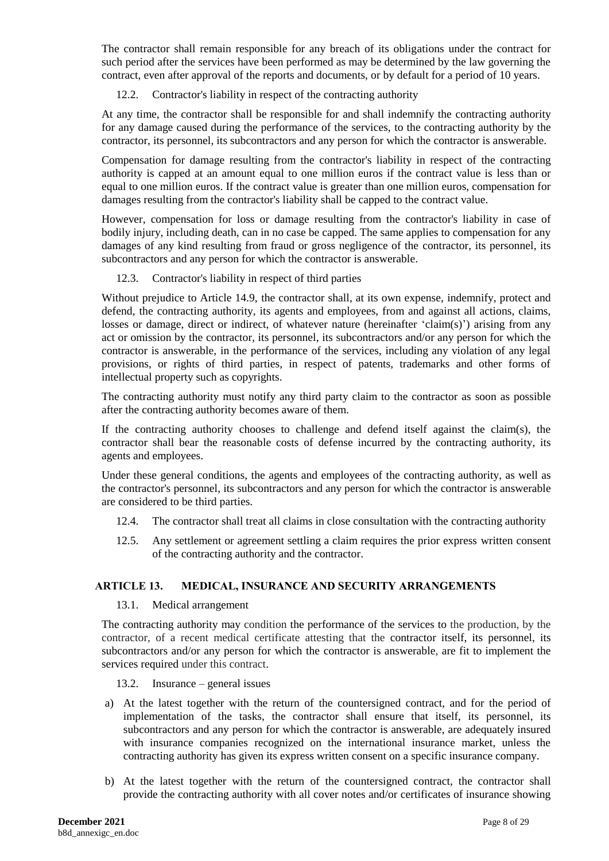The contractor shall remain responsible for any breach of its obligations under the contract for such period after the services have been performed as may be determined by the law governing the contract, even after approval of the reports and documents, or by default for a period of 10 years.

## 12.2. Contractor's liability in respect of the contracting authority

At any time, the contractor shall be responsible for and shall indemnify the contracting authority for any damage caused during the performance of the services, to the contracting authority by the contractor, its personnel, its subcontractors and any person for which the contractor is answerable.

Compensation for damage resulting from the contractor's liability in respect of the contracting authority is capped at an amount equal to one million euros if the contract value is less than or equal to one million euros. If the contract value is greater than one million euros, compensation for damages resulting from the contractor's liability shall be capped to the contract value.

However, compensation for loss or damage resulting from the contractor's liability in case of bodily injury, including death, can in no case be capped. The same applies to compensation for any damages of any kind resulting from fraud or gross negligence of the contractor, its personnel, its subcontractors and any person for which the contractor is answerable.

### 12.3. Contractor's liability in respect of third parties

Without prejudice to Article 14.9, the contractor shall, at its own expense, indemnify, protect and defend, the contracting authority, its agents and employees, from and against all actions, claims, losses or damage, direct or indirect, of whatever nature (hereinafter 'claim(s)') arising from any act or omission by the contractor, its personnel, its subcontractors and/or any person for which the contractor is answerable, in the performance of the services, including any violation of any legal provisions, or rights of third parties, in respect of patents, trademarks and other forms of intellectual property such as copyrights.

The contracting authority must notify any third party claim to the contractor as soon as possible after the contracting authority becomes aware of them.

If the contracting authority chooses to challenge and defend itself against the claim(s), the contractor shall bear the reasonable costs of defense incurred by the contracting authority, its agents and employees.

Under these general conditions, the agents and employees of the contracting authority, as well as the contractor's personnel, its subcontractors and any person for which the contractor is answerable are considered to be third parties.

- 12.4. The contractor shall treat all claims in close consultation with the contracting authority
- 12.5. Any settlement or agreement settling a claim requires the prior express written consent of the contracting authority and the contractor.

# <span id="page-7-0"></span>**ARTICLE 13. MEDICAL, INSURANCE AND SECURITY ARRANGEMENTS**

13.1. Medical arrangement

The contracting authority may condition the performance of the services to the production, by the contractor, of a recent medical certificate attesting that the contractor itself, its personnel, its subcontractors and/or any person for which the contractor is answerable, are fit to implement the services required under this contract.

13.2. Insurance – general issues

- a) At the latest together with the return of the countersigned contract, and for the period of implementation of the tasks, the contractor shall ensure that itself, its personnel, its subcontractors and any person for which the contractor is answerable, are adequately insured with insurance companies recognized on the international insurance market, unless the contracting authority has given its express written consent on a specific insurance company.
- b) At the latest together with the return of the countersigned contract, the contractor shall provide the contracting authority with all cover notes and/or certificates of insurance showing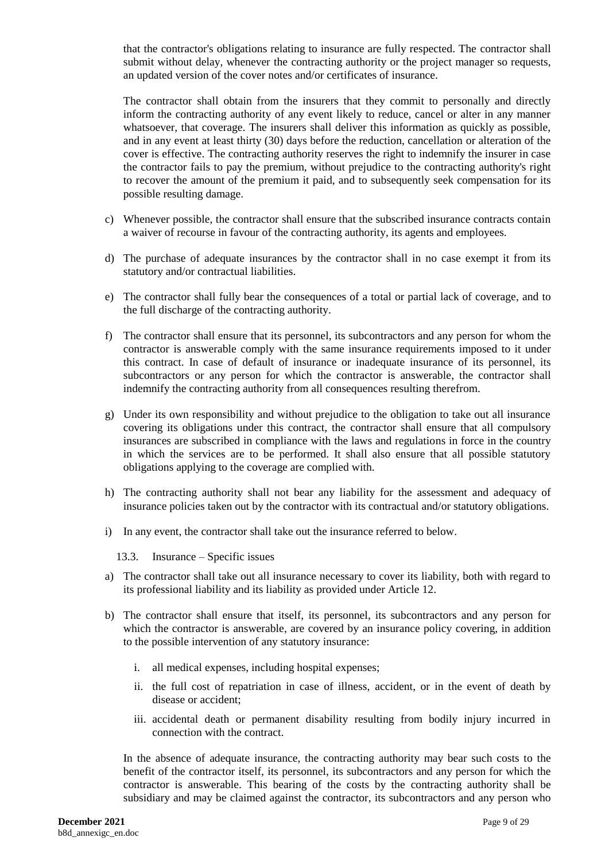that the contractor's obligations relating to insurance are fully respected. The contractor shall submit without delay, whenever the contracting authority or the project manager so requests, an updated version of the cover notes and/or certificates of insurance.

The contractor shall obtain from the insurers that they commit to personally and directly inform the contracting authority of any event likely to reduce, cancel or alter in any manner whatsoever, that coverage. The insurers shall deliver this information as quickly as possible, and in any event at least thirty (30) days before the reduction, cancellation or alteration of the cover is effective. The contracting authority reserves the right to indemnify the insurer in case the contractor fails to pay the premium, without prejudice to the contracting authority's right to recover the amount of the premium it paid, and to subsequently seek compensation for its possible resulting damage.

- c) Whenever possible, the contractor shall ensure that the subscribed insurance contracts contain a waiver of recourse in favour of the contracting authority, its agents and employees.
- d) The purchase of adequate insurances by the contractor shall in no case exempt it from its statutory and/or contractual liabilities.
- e) The contractor shall fully bear the consequences of a total or partial lack of coverage, and to the full discharge of the contracting authority.
- f) The contractor shall ensure that its personnel, its subcontractors and any person for whom the contractor is answerable comply with the same insurance requirements imposed to it under this contract. In case of default of insurance or inadequate insurance of its personnel, its subcontractors or any person for which the contractor is answerable, the contractor shall indemnify the contracting authority from all consequences resulting therefrom.
- g) Under its own responsibility and without prejudice to the obligation to take out all insurance covering its obligations under this contract, the contractor shall ensure that all compulsory insurances are subscribed in compliance with the laws and regulations in force in the country in which the services are to be performed. It shall also ensure that all possible statutory obligations applying to the coverage are complied with.
- h) The contracting authority shall not bear any liability for the assessment and adequacy of insurance policies taken out by the contractor with its contractual and/or statutory obligations.
- i) In any event, the contractor shall take out the insurance referred to below.
	- 13.3. Insurance Specific issues
- a) The contractor shall take out all insurance necessary to cover its liability, both with regard to its professional liability and its liability as provided under Article 12.
- b) The contractor shall ensure that itself, its personnel, its subcontractors and any person for which the contractor is answerable, are covered by an insurance policy covering, in addition to the possible intervention of any statutory insurance:
	- i. all medical expenses, including hospital expenses;
	- ii. the full cost of repatriation in case of illness, accident, or in the event of death by disease or accident;
	- iii. accidental death or permanent disability resulting from bodily injury incurred in connection with the contract.

In the absence of adequate insurance, the contracting authority may bear such costs to the benefit of the contractor itself, its personnel, its subcontractors and any person for which the contractor is answerable. This bearing of the costs by the contracting authority shall be subsidiary and may be claimed against the contractor, its subcontractors and any person who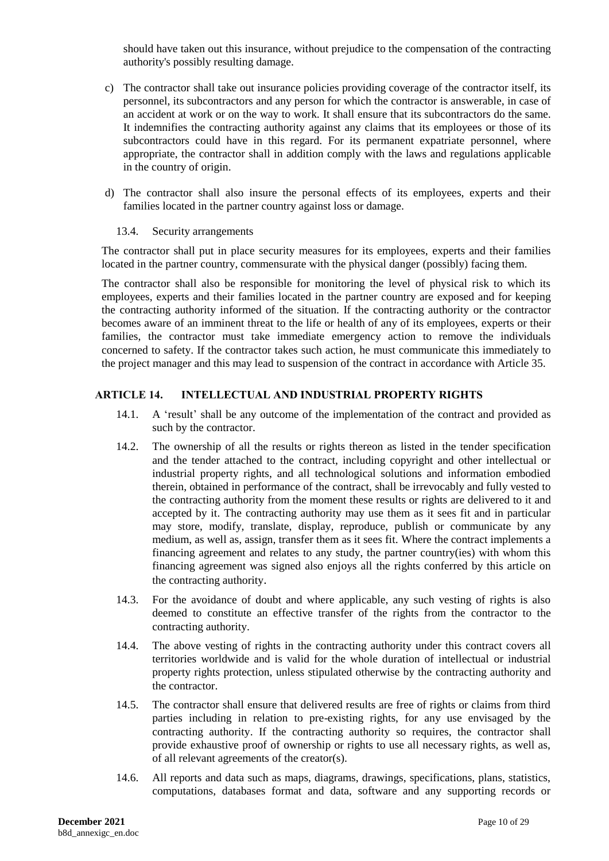should have taken out this insurance, without prejudice to the compensation of the contracting authority's possibly resulting damage.

- c) The contractor shall take out insurance policies providing coverage of the contractor itself, its personnel, its subcontractors and any person for which the contractor is answerable, in case of an accident at work or on the way to work. It shall ensure that its subcontractors do the same. It indemnifies the contracting authority against any claims that its employees or those of its subcontractors could have in this regard. For its permanent expatriate personnel, where appropriate, the contractor shall in addition comply with the laws and regulations applicable in the country of origin.
- d) The contractor shall also insure the personal effects of its employees, experts and their families located in the partner country against loss or damage.

#### 13.4. Security arrangements

The contractor shall put in place security measures for its employees, experts and their families located in the partner country, commensurate with the physical danger (possibly) facing them.

The contractor shall also be responsible for monitoring the level of physical risk to which its employees, experts and their families located in the partner country are exposed and for keeping the contracting authority informed of the situation. If the contracting authority or the contractor becomes aware of an imminent threat to the life or health of any of its employees, experts or their families, the contractor must take immediate emergency action to remove the individuals concerned to safety. If the contractor takes such action, he must communicate this immediately to the project manager and this may lead to suspension of the contract in accordance with Article 35.

### <span id="page-9-0"></span>**ARTICLE 14. INTELLECTUAL AND INDUSTRIAL PROPERTY RIGHTS**

- 14.1. A 'result' shall be any outcome of the implementation of the contract and provided as such by the contractor.
- 14.2. The ownership of all the results or rights thereon as listed in the tender specification and the tender attached to the contract, including copyright and other intellectual or industrial property rights, and all technological solutions and information embodied therein, obtained in performance of the contract, shall be irrevocably and fully vested to the contracting authority from the moment these results or rights are delivered to it and accepted by it. The contracting authority may use them as it sees fit and in particular may store, modify, translate, display, reproduce, publish or communicate by any medium, as well as, assign, transfer them as it sees fit. Where the contract implements a financing agreement and relates to any study, the partner country(ies) with whom this financing agreement was signed also enjoys all the rights conferred by this article on the contracting authority.
- 14.3. For the avoidance of doubt and where applicable, any such vesting of rights is also deemed to constitute an effective transfer of the rights from the contractor to the contracting authority.
- 14.4. The above vesting of rights in the contracting authority under this contract covers all territories worldwide and is valid for the whole duration of intellectual or industrial property rights protection, unless stipulated otherwise by the contracting authority and the contractor.
- 14.5. The contractor shall ensure that delivered results are free of rights or claims from third parties including in relation to pre-existing rights, for any use envisaged by the contracting authority. If the contracting authority so requires, the contractor shall provide exhaustive proof of ownership or rights to use all necessary rights, as well as, of all relevant agreements of the creator(s).
- 14.6. All reports and data such as maps, diagrams, drawings, specifications, plans, statistics, computations, databases format and data, software and any supporting records or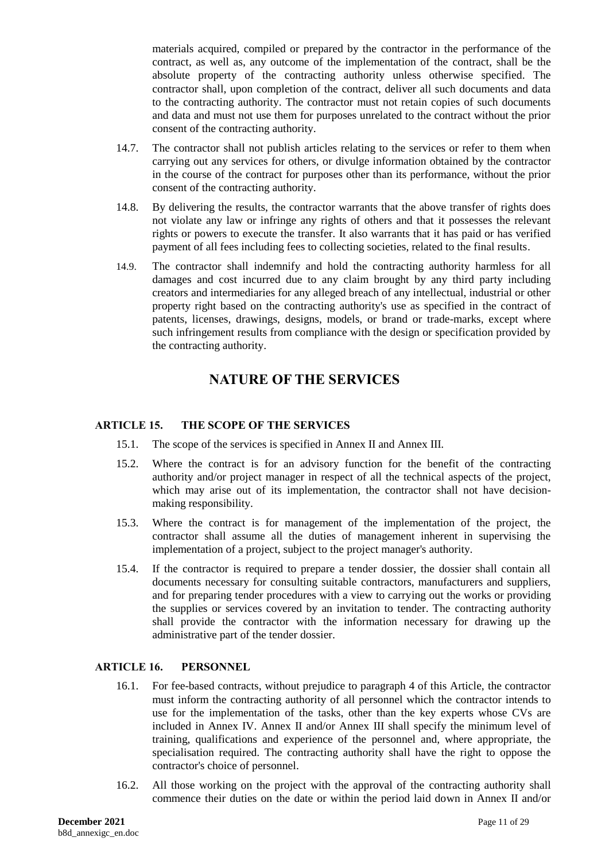materials acquired, compiled or prepared by the contractor in the performance of the contract, as well as, any outcome of the implementation of the contract, shall be the absolute property of the contracting authority unless otherwise specified. The contractor shall, upon completion of the contract, deliver all such documents and data to the contracting authority. The contractor must not retain copies of such documents and data and must not use them for purposes unrelated to the contract without the prior consent of the contracting authority.

- 14.7. The contractor shall not publish articles relating to the services or refer to them when carrying out any services for others, or divulge information obtained by the contractor in the course of the contract for purposes other than its performance, without the prior consent of the contracting authority.
- 14.8. By delivering the results, the contractor warrants that the above transfer of rights does not violate any law or infringe any rights of others and that it possesses the relevant rights or powers to execute the transfer. It also warrants that it has paid or has verified payment of all fees including fees to collecting societies, related to the final results.
- 14.9. The contractor shall indemnify and hold the contracting authority harmless for all damages and cost incurred due to any claim brought by any third party including creators and intermediaries for any alleged breach of any intellectual, industrial or other property right based on the contracting authority's use as specified in the contract of patents, licenses, drawings, designs, models, or brand or trade-marks, except where such infringement results from compliance with the design or specification provided by the contracting authority.

# **NATURE OF THE SERVICES**

## <span id="page-10-0"></span>**ARTICLE 15. THE SCOPE OF THE SERVICES**

- 15.1. The scope of the services is specified in Annex II and Annex III.
- 15.2. Where the contract is for an advisory function for the benefit of the contracting authority and/or project manager in respect of all the technical aspects of the project, which may arise out of its implementation, the contractor shall not have decisionmaking responsibility.
- 15.3. Where the contract is for management of the implementation of the project, the contractor shall assume all the duties of management inherent in supervising the implementation of a project, subject to the project manager's authority.
- 15.4. If the contractor is required to prepare a tender dossier, the dossier shall contain all documents necessary for consulting suitable contractors, manufacturers and suppliers, and for preparing tender procedures with a view to carrying out the works or providing the supplies or services covered by an invitation to tender. The contracting authority shall provide the contractor with the information necessary for drawing up the administrative part of the tender dossier.

# **ARTICLE 16. PERSONNEL**

- 16.1. For fee-based contracts, without prejudice to paragraph 4 of this Article, the contractor must inform the contracting authority of all personnel which the contractor intends to use for the implementation of the tasks, other than the key experts whose CVs are included in Annex IV. Annex II and/or Annex III shall specify the minimum level of training, qualifications and experience of the personnel and, where appropriate, the specialisation required. The contracting authority shall have the right to oppose the contractor's choice of personnel.
- 16.2. All those working on the project with the approval of the contracting authority shall commence their duties on the date or within the period laid down in Annex II and/or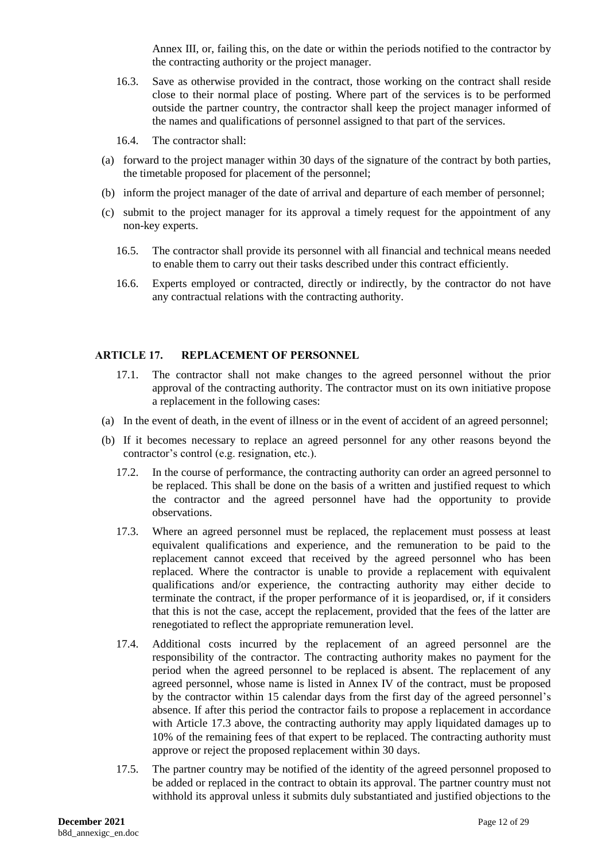Annex III, or, failing this, on the date or within the periods notified to the contractor by the contracting authority or the project manager.

- 16.3. Save as otherwise provided in the contract, those working on the contract shall reside close to their normal place of posting. Where part of the services is to be performed outside the partner country, the contractor shall keep the project manager informed of the names and qualifications of personnel assigned to that part of the services.
- 16.4. The contractor shall:
- (a) forward to the project manager within 30 days of the signature of the contract by both parties, the timetable proposed for placement of the personnel;
- (b) inform the project manager of the date of arrival and departure of each member of personnel;
- (c) submit to the project manager for its approval a timely request for the appointment of any non-key experts.
	- 16.5. The contractor shall provide its personnel with all financial and technical means needed to enable them to carry out their tasks described under this contract efficiently.
	- 16.6. Experts employed or contracted, directly or indirectly, by the contractor do not have any contractual relations with the contracting authority.

#### <span id="page-11-0"></span>**ARTICLE 17. REPLACEMENT OF PERSONNEL**

- 17.1. The contractor shall not make changes to the agreed personnel without the prior approval of the contracting authority. The contractor must on its own initiative propose a replacement in the following cases:
- (a) In the event of death, in the event of illness or in the event of accident of an agreed personnel;
- (b) If it becomes necessary to replace an agreed personnel for any other reasons beyond the contractor's control (e.g. resignation, etc.).
	- 17.2. In the course of performance, the contracting authority can order an agreed personnel to be replaced. This shall be done on the basis of a written and justified request to which the contractor and the agreed personnel have had the opportunity to provide observations.
	- 17.3. Where an agreed personnel must be replaced, the replacement must possess at least equivalent qualifications and experience, and the remuneration to be paid to the replacement cannot exceed that received by the agreed personnel who has been replaced. Where the contractor is unable to provide a replacement with equivalent qualifications and/or experience, the contracting authority may either decide to terminate the contract, if the proper performance of it is jeopardised, or, if it considers that this is not the case, accept the replacement, provided that the fees of the latter are renegotiated to reflect the appropriate remuneration level.
	- 17.4. Additional costs incurred by the replacement of an agreed personnel are the responsibility of the contractor. The contracting authority makes no payment for the period when the agreed personnel to be replaced is absent. The replacement of any agreed personnel, whose name is listed in Annex IV of the contract, must be proposed by the contractor within 15 calendar days from the first day of the agreed personnel's absence. If after this period the contractor fails to propose a replacement in accordance with Article 17.3 above, the contracting authority may apply liquidated damages up to 10% of the remaining fees of that expert to be replaced. The contracting authority must approve or reject the proposed replacement within 30 days.
	- 17.5. The partner country may be notified of the identity of the agreed personnel proposed to be added or replaced in the contract to obtain its approval. The partner country must not withhold its approval unless it submits duly substantiated and justified objections to the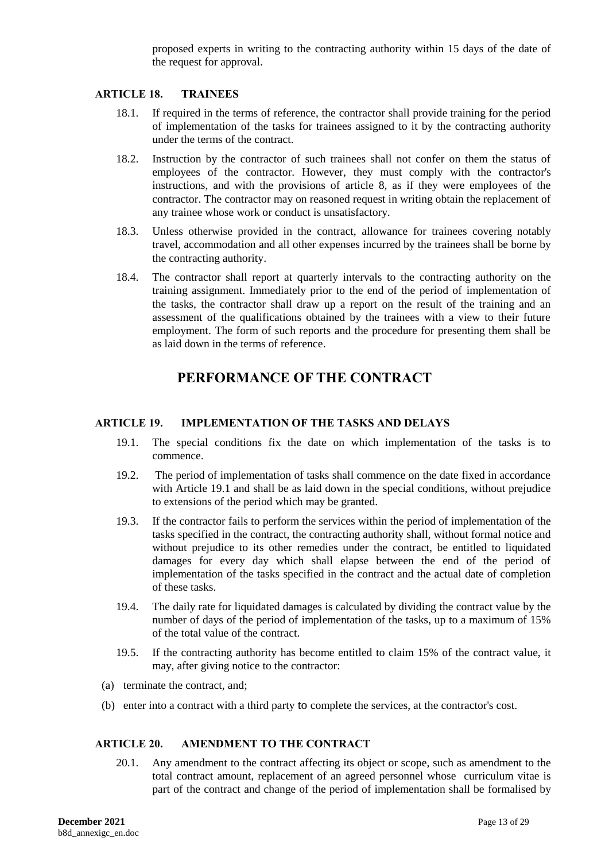proposed experts in writing to the contracting authority within 15 days of the date of the request for approval.

#### <span id="page-12-0"></span>**ARTICLE 18. TRAINEES**

- 18.1. If required in the terms of reference, the contractor shall provide training for the period of implementation of the tasks for trainees assigned to it by the contracting authority under the terms of the contract.
- 18.2. Instruction by the contractor of such trainees shall not confer on them the status of employees of the contractor. However, they must comply with the contractor's instructions, and with the provisions of article 8, as if they were employees of the contractor. The contractor may on reasoned request in writing obtain the replacement of any trainee whose work or conduct is unsatisfactory.
- 18.3. Unless otherwise provided in the contract, allowance for trainees covering notably travel, accommodation and all other expenses incurred by the trainees shall be borne by the contracting authority.
- 18.4. The contractor shall report at quarterly intervals to the contracting authority on the training assignment. Immediately prior to the end of the period of implementation of the tasks, the contractor shall draw up a report on the result of the training and an assessment of the qualifications obtained by the trainees with a view to their future employment. The form of such reports and the procedure for presenting them shall be as laid down in the terms of reference.

# **PERFORMANCE OF THE CONTRACT**

#### <span id="page-12-1"></span>**ARTICLE 19. IMPLEMENTATION OF THE TASKS AND DELAYS**

- 19.1. The special conditions fix the date on which implementation of the tasks is to commence.
- 19.2. The period of implementation of tasks shall commence on the date fixed in accordance with Article 19.1 and shall be as laid down in the special conditions, without prejudice to extensions of the period which may be granted.
- 19.3. If the contractor fails to perform the services within the period of implementation of the tasks specified in the contract, the contracting authority shall, without formal notice and without prejudice to its other remedies under the contract, be entitled to liquidated damages for every day which shall elapse between the end of the period of implementation of the tasks specified in the contract and the actual date of completion of these tasks.
- 19.4. The daily rate for liquidated damages is calculated by dividing the contract value by the number of days of the period of implementation of the tasks, up to a maximum of 15% of the total value of the contract.
- 19.5. If the contracting authority has become entitled to claim 15% of the contract value, it may, after giving notice to the contractor:
- (a) terminate the contract, and;
- (b) enter into a contract with a third party to complete the services, at the contractor's cost.

#### <span id="page-12-2"></span>**ARTICLE 20. AMENDMENT TO THE CONTRACT**

20.1. Any amendment to the contract affecting its object or scope, such as amendment to the total contract amount, replacement of an agreed personnel whose curriculum vitae is part of the contract and change of the period of implementation shall be formalised by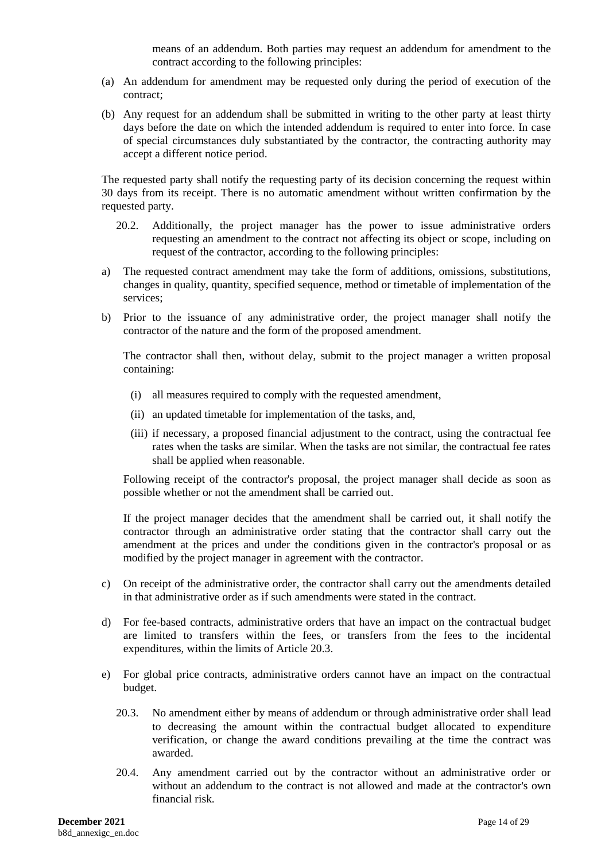means of an addendum. Both parties may request an addendum for amendment to the contract according to the following principles:

- (a) An addendum for amendment may be requested only during the period of execution of the contract;
- (b) Any request for an addendum shall be submitted in writing to the other party at least thirty days before the date on which the intended addendum is required to enter into force. In case of special circumstances duly substantiated by the contractor, the contracting authority may accept a different notice period.

The requested party shall notify the requesting party of its decision concerning the request within 30 days from its receipt. There is no automatic amendment without written confirmation by the requested party.

- 20.2. Additionally, the project manager has the power to issue administrative orders requesting an amendment to the contract not affecting its object or scope, including on request of the contractor, according to the following principles:
- a) The requested contract amendment may take the form of additions, omissions, substitutions, changes in quality, quantity, specified sequence, method or timetable of implementation of the services;
- b) Prior to the issuance of any administrative order, the project manager shall notify the contractor of the nature and the form of the proposed amendment.

The contractor shall then, without delay, submit to the project manager a written proposal containing:

- (i) all measures required to comply with the requested amendment,
- (ii) an updated timetable for implementation of the tasks, and,
- (iii) if necessary, a proposed financial adjustment to the contract, using the contractual fee rates when the tasks are similar. When the tasks are not similar, the contractual fee rates shall be applied when reasonable.

Following receipt of the contractor's proposal, the project manager shall decide as soon as possible whether or not the amendment shall be carried out.

If the project manager decides that the amendment shall be carried out, it shall notify the contractor through an administrative order stating that the contractor shall carry out the amendment at the prices and under the conditions given in the contractor's proposal or as modified by the project manager in agreement with the contractor.

- c) On receipt of the administrative order, the contractor shall carry out the amendments detailed in that administrative order as if such amendments were stated in the contract.
- d) For fee-based contracts, administrative orders that have an impact on the contractual budget are limited to transfers within the fees, or transfers from the fees to the incidental expenditures, within the limits of Article 20.3.
- e) For global price contracts, administrative orders cannot have an impact on the contractual budget.
	- 20.3. No amendment either by means of addendum or through administrative order shall lead to decreasing the amount within the contractual budget allocated to expenditure verification, or change the award conditions prevailing at the time the contract was awarded.
	- 20.4. Any amendment carried out by the contractor without an administrative order or without an addendum to the contract is not allowed and made at the contractor's own financial risk.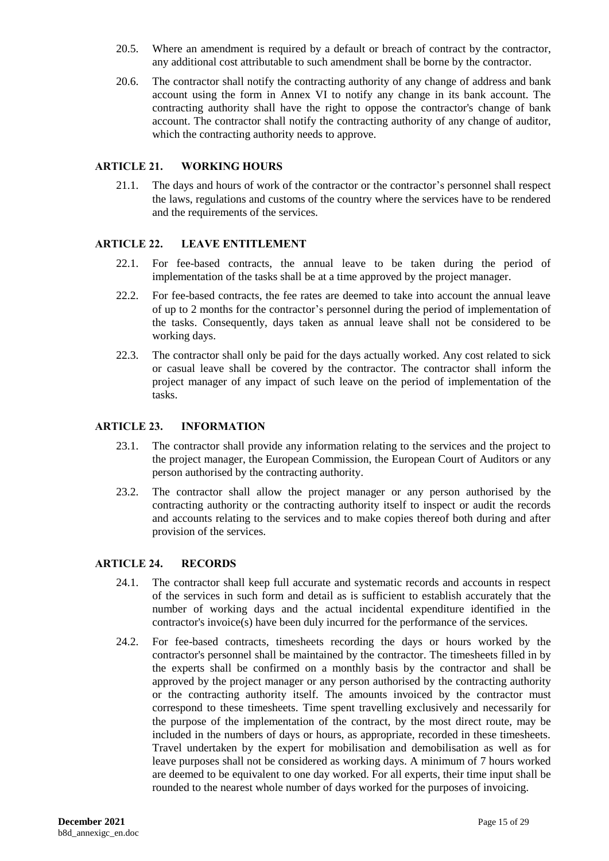- 20.5. Where an amendment is required by a default or breach of contract by the contractor, any additional cost attributable to such amendment shall be borne by the contractor.
- 20.6. The contractor shall notify the contracting authority of any change of address and bank account using the form in Annex VI to notify any change in its bank account. The contracting authority shall have the right to oppose the contractor's change of bank account. The contractor shall notify the contracting authority of any change of auditor, which the contracting authority needs to approve.

#### <span id="page-14-0"></span>**ARTICLE 21. WORKING HOURS**

21.1. The days and hours of work of the contractor or the contractor's personnel shall respect the laws, regulations and customs of the country where the services have to be rendered and the requirements of the services.

#### <span id="page-14-1"></span>**ARTICLE 22. LEAVE ENTITLEMENT**

- 22.1. For fee-based contracts, the annual leave to be taken during the period of implementation of the tasks shall be at a time approved by the project manager.
- 22.2. For fee-based contracts, the fee rates are deemed to take into account the annual leave of up to 2 months for the contractor's personnel during the period of implementation of the tasks. Consequently, days taken as annual leave shall not be considered to be working days.
- 22.3. The contractor shall only be paid for the days actually worked. Any cost related to sick or casual leave shall be covered by the contractor. The contractor shall inform the project manager of any impact of such leave on the period of implementation of the tasks.

#### <span id="page-14-2"></span>**ARTICLE 23. INFORMATION**

- 23.1. The contractor shall provide any information relating to the services and the project to the project manager, the European Commission, the European Court of Auditors or any person authorised by the contracting authority.
- 23.2. The contractor shall allow the project manager or any person authorised by the contracting authority or the contracting authority itself to inspect or audit the records and accounts relating to the services and to make copies thereof both during and after provision of the services.

#### <span id="page-14-3"></span>**ARTICLE 24. RECORDS**

- 24.1. The contractor shall keep full accurate and systematic records and accounts in respect of the services in such form and detail as is sufficient to establish accurately that the number of working days and the actual incidental expenditure identified in the contractor's invoice(s) have been duly incurred for the performance of the services.
- <span id="page-14-4"></span>24.2. For fee-based contracts, timesheets recording the days or hours worked by the contractor's personnel shall be maintained by the contractor. The timesheets filled in by the experts shall be confirmed on a monthly basis by the contractor and shall be approved by the project manager or any person authorised by the contracting authority or the contracting authority itself. The amounts invoiced by the contractor must correspond to these timesheets. Time spent travelling exclusively and necessarily for the purpose of the implementation of the contract, by the most direct route, may be included in the numbers of days or hours, as appropriate, recorded in these timesheets. Travel undertaken by the expert for mobilisation and demobilisation as well as for leave purposes shall not be considered as working days. A minimum of 7 hours worked are deemed to be equivalent to one day worked. For all experts, their time input shall be rounded to the nearest whole number of days worked for the purposes of invoicing.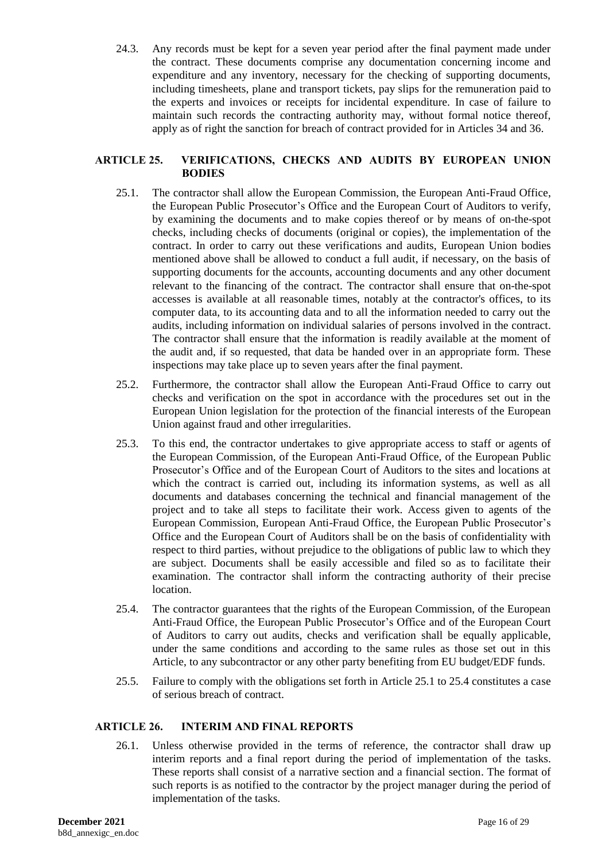24.3. Any records must be kept for a seven year period after the final payment made under the contract. These documents comprise any documentation concerning income and expenditure and any inventory, necessary for the checking of supporting documents, including timesheets, plane and transport tickets, pay slips for the remuneration paid to the experts and invoices or receipts for incidental expenditure. In case of failure to maintain such records the contracting authority may, without formal notice thereof, apply as of right the sanction for breach of contract provided for in Articles 34 and 36.

#### <span id="page-15-0"></span>**ARTICLE 25. VERIFICATIONS, CHECKS AND AUDITS BY EUROPEAN UNION BODIES**

- 25.1. The contractor shall allow the European Commission, the European Anti-Fraud Office, the European Public Prosecutor's Office and the European Court of Auditors to verify, by examining the documents and to make copies thereof or by means of on-the-spot checks, including checks of documents (original or copies), the implementation of the contract. In order to carry out these verifications and audits, European Union bodies mentioned above shall be allowed to conduct a full audit, if necessary, on the basis of supporting documents for the accounts, accounting documents and any other document relevant to the financing of the contract. The contractor shall ensure that on-the-spot accesses is available at all reasonable times, notably at the contractor's offices, to its computer data, to its accounting data and to all the information needed to carry out the audits, including information on individual salaries of persons involved in the contract. The contractor shall ensure that the information is readily available at the moment of the audit and, if so requested, that data be handed over in an appropriate form. These inspections may take place up to seven years after the final payment.
- 25.2. Furthermore, the contractor shall allow the European Anti-Fraud Office to carry out checks and verification on the spot in accordance with the procedures set out in the European Union legislation for the protection of the financial interests of the European Union against fraud and other irregularities.
- 25.3. To this end, the contractor undertakes to give appropriate access to staff or agents of the European Commission, of the European Anti-Fraud Office, of the European Public Prosecutor's Office and of the European Court of Auditors to the sites and locations at which the contract is carried out, including its information systems, as well as all documents and databases concerning the technical and financial management of the project and to take all steps to facilitate their work. Access given to agents of the European Commission, European Anti-Fraud Office, the European Public Prosecutor's Office and the European Court of Auditors shall be on the basis of confidentiality with respect to third parties, without prejudice to the obligations of public law to which they are subject. Documents shall be easily accessible and filed so as to facilitate their examination. The contractor shall inform the contracting authority of their precise location.
- 25.4. The contractor guarantees that the rights of the European Commission, of the European Anti-Fraud Office, the European Public Prosecutor's Office and of the European Court of Auditors to carry out audits, checks and verification shall be equally applicable, under the same conditions and according to the same rules as those set out in this Article, to any subcontractor or any other party benefiting from EU budget/EDF funds.
- 25.5. Failure to comply with the obligations set forth in Article 25.1 to 25.4 constitutes a case of serious breach of contract.

# <span id="page-15-1"></span>**ARTICLE 26. INTERIM AND FINAL REPORTS**

26.1. Unless otherwise provided in the terms of reference, the contractor shall draw up interim reports and a final report during the period of implementation of the tasks. These reports shall consist of a narrative section and a financial section. The format of such reports is as notified to the contractor by the project manager during the period of implementation of the tasks.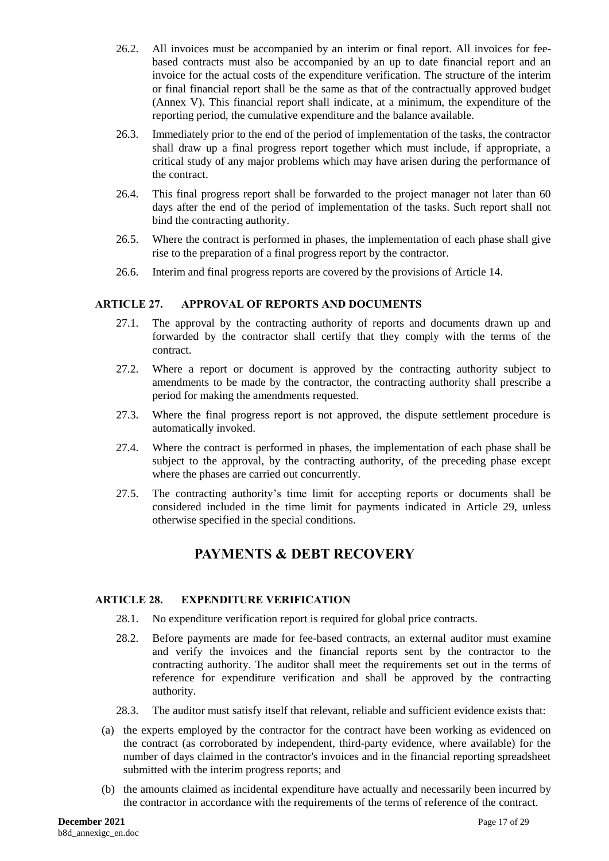- 26.2. All invoices must be accompanied by an interim or final report. All invoices for feebased contracts must also be accompanied by an up to date financial report and an invoice for the actual costs of the expenditure verification. The structure of the interim or final financial report shall be the same as that of the contractually approved budget (Annex V). This financial report shall indicate, at a minimum, the expenditure of the reporting period, the cumulative expenditure and the balance available.
- 26.3. Immediately prior to the end of the period of implementation of the tasks, the contractor shall draw up a final progress report together which must include, if appropriate, a critical study of any major problems which may have arisen during the performance of the contract.
- 26.4. This final progress report shall be forwarded to the project manager not later than 60 days after the end of the period of implementation of the tasks. Such report shall not bind the contracting authority.
- 26.5. Where the contract is performed in phases, the implementation of each phase shall give rise to the preparation of a final progress report by the contractor.
- 26.6. Interim and final progress reports are covered by the provisions of Article 14.

### <span id="page-16-0"></span>**ARTICLE 27. APPROVAL OF REPORTS AND DOCUMENTS**

- 27.1. The approval by the contracting authority of reports and documents drawn up and forwarded by the contractor shall certify that they comply with the terms of the contract.
- 27.2. Where a report or document is approved by the contracting authority subject to amendments to be made by the contractor, the contracting authority shall prescribe a period for making the amendments requested.
- 27.3. Where the final progress report is not approved, the dispute settlement procedure is automatically invoked.
- 27.4. Where the contract is performed in phases, the implementation of each phase shall be subject to the approval, by the contracting authority, of the preceding phase except where the phases are carried out concurrently.
- 27.5. The contracting authority's time limit for accepting reports or documents shall be considered included in the time limit for payments indicated in Article 29, unless otherwise specified in the special conditions.

# **PAYMENTS & DEBT RECOVERY**

#### <span id="page-16-1"></span>**ARTICLE 28. EXPENDITURE VERIFICATION**

- 28.1. No expenditure verification report is required for global price contracts.
- 28.2. Before payments are made for fee-based contracts, an external auditor must examine and verify the invoices and the financial reports sent by the contractor to the contracting authority. The auditor shall meet the requirements set out in the terms of reference for expenditure verification and shall be approved by the contracting authority.
- 28.3. The auditor must satisfy itself that relevant, reliable and sufficient evidence exists that:
- (a) the experts employed by the contractor for the contract have been working as evidenced on the contract (as corroborated by independent, third-party evidence, where available) for the number of days claimed in the contractor's invoices and in the financial reporting spreadsheet submitted with the interim progress reports; and
- (b) the amounts claimed as incidental expenditure have actually and necessarily been incurred by the contractor in accordance with the requirements of the terms of reference of the contract.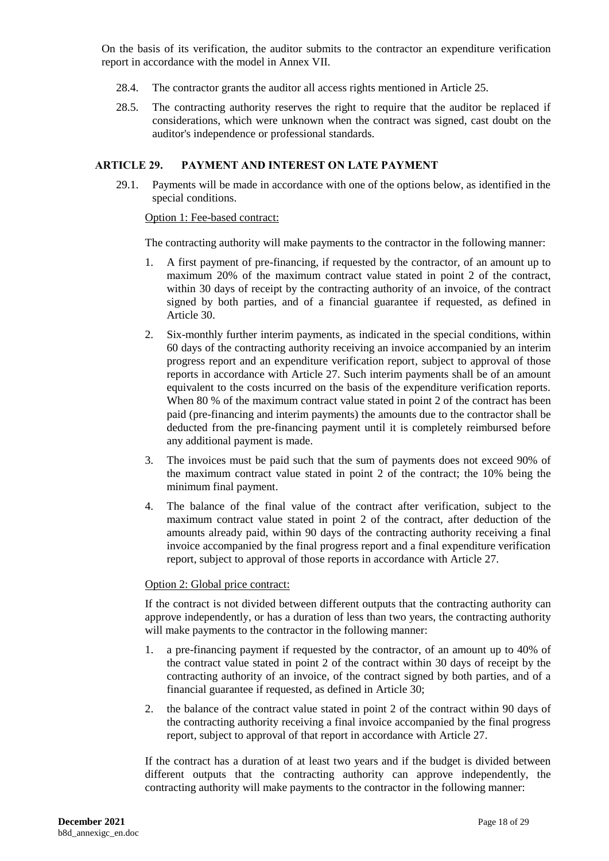On the basis of its verification, the auditor submits to the contractor an expenditure verification report in accordance with the model in Annex VII.

- 28.4. The contractor grants the auditor all access rights mentioned in Article 25.
- 28.5. The contracting authority reserves the right to require that the auditor be replaced if considerations, which were unknown when the contract was signed, cast doubt on the auditor's independence or professional standards.

#### <span id="page-17-0"></span>**ARTICLE 29. PAYMENT AND INTEREST ON LATE PAYMENT**

29.1. Payments will be made in accordance with one of the options below, as identified in the special conditions.

#### Option 1: Fee-based contract:

The contracting authority will make payments to the contractor in the following manner:

- 1. A first payment of pre-financing, if requested by the contractor, of an amount up to maximum 20% of the maximum contract value stated in point 2 of the contract, within 30 days of receipt by the contracting authority of an invoice, of the contract signed by both parties, and of a financial guarantee if requested, as defined in Article 30.
- 2. Six-monthly further interim payments, as indicated in the special conditions, within 60 days of the contracting authority receiving an invoice accompanied by an interim progress report and an expenditure verification report, subject to approval of those reports in accordance with Article 27. Such interim payments shall be of an amount equivalent to the costs incurred on the basis of the expenditure verification reports. When 80 % of the maximum contract value stated in point 2 of the contract has been paid (pre-financing and interim payments) the amounts due to the contractor shall be deducted from the pre-financing payment until it is completely reimbursed before any additional payment is made.
- 3. The invoices must be paid such that the sum of payments does not exceed 90% of the maximum contract value stated in point 2 of the contract; the 10% being the minimum final payment.
- 4. The balance of the final value of the contract after verification, subject to the maximum contract value stated in point 2 of the contract, after deduction of the amounts already paid, within 90 days of the contracting authority receiving a final invoice accompanied by the final progress report and a final expenditure verification report, subject to approval of those reports in accordance with Article 27.

#### Option 2: Global price contract:

If the contract is not divided between different outputs that the contracting authority can approve independently, or has a duration of less than two years, the contracting authority will make payments to the contractor in the following manner:

- 1. a pre-financing payment if requested by the contractor, of an amount up to 40% of the contract value stated in point 2 of the contract within 30 days of receipt by the contracting authority of an invoice, of the contract signed by both parties, and of a financial guarantee if requested, as defined in Article 30;
- 2. the balance of the contract value stated in point 2 of the contract within 90 days of the contracting authority receiving a final invoice accompanied by the final progress report, subject to approval of that report in accordance with Article 27.

If the contract has a duration of at least two years and if the budget is divided between different outputs that the contracting authority can approve independently, the contracting authority will make payments to the contractor in the following manner: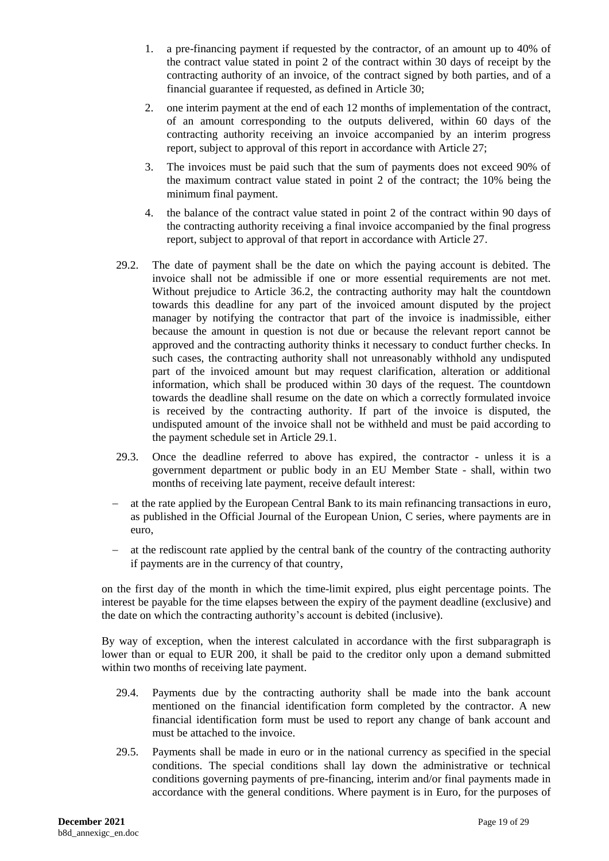- 1. a pre-financing payment if requested by the contractor, of an amount up to 40% of the contract value stated in point 2 of the contract within 30 days of receipt by the contracting authority of an invoice, of the contract signed by both parties, and of a financial guarantee if requested, as defined in Article 30;
- 2. one interim payment at the end of each 12 months of implementation of the contract, of an amount corresponding to the outputs delivered, within 60 days of the contracting authority receiving an invoice accompanied by an interim progress report, subject to approval of this report in accordance with Article 27;
- 3. The invoices must be paid such that the sum of payments does not exceed 90% of the maximum contract value stated in point 2 of the contract; the 10% being the minimum final payment.
- 4. the balance of the contract value stated in point 2 of the contract within 90 days of the contracting authority receiving a final invoice accompanied by the final progress report, subject to approval of that report in accordance with Article 27.
- 29.2. The date of payment shall be the date on which the paying account is debited. The invoice shall not be admissible if one or more essential requirements are not met. Without prejudice to Article [36.2,](#page-22-1) the contracting authority may halt the countdown towards this deadline for any part of the invoiced amount disputed by the project manager by notifying the contractor that part of the invoice is inadmissible, either because the amount in question is not due or because the relevant report cannot be approved and the contracting authority thinks it necessary to conduct further checks. In such cases, the contracting authority shall not unreasonably withhold any undisputed part of the invoiced amount but may request clarification, alteration or additional information, which shall be produced within 30 days of the request. The countdown towards the deadline shall resume on the date on which a correctly formulated invoice is received by the contracting authority. If part of the invoice is disputed, the undisputed amount of the invoice shall not be withheld and must be paid according to the payment schedule set in Article 29.1.
- 29.3. Once the deadline referred to above has expired, the contractor unless it is a government department or public body in an EU Member State - shall, within two months of receiving late payment, receive default interest:
- at the rate applied by the European Central Bank to its main refinancing transactions in euro, as published in the Official Journal of the European Union, C series, where payments are in euro,
- at the rediscount rate applied by the central bank of the country of the contracting authority if payments are in the currency of that country,

on the first day of the month in which the time-limit expired, plus eight percentage points. The interest be payable for the time elapses between the expiry of the payment deadline (exclusive) and the date on which the contracting authority's account is debited (inclusive).

By way of exception, when the interest calculated in accordance with the first subparagraph is lower than or equal to EUR 200, it shall be paid to the creditor only upon a demand submitted within two months of receiving late payment.

- 29.4. Payments due by the contracting authority shall be made into the bank account mentioned on the financial identification form completed by the contractor. A new financial identification form must be used to report any change of bank account and must be attached to the invoice.
- 29.5. Payments shall be made in euro or in the national currency as specified in the special conditions. The special conditions shall lay down the administrative or technical conditions governing payments of pre-financing, interim and/or final payments made in accordance with the general conditions. Where payment is in Euro, for the purposes of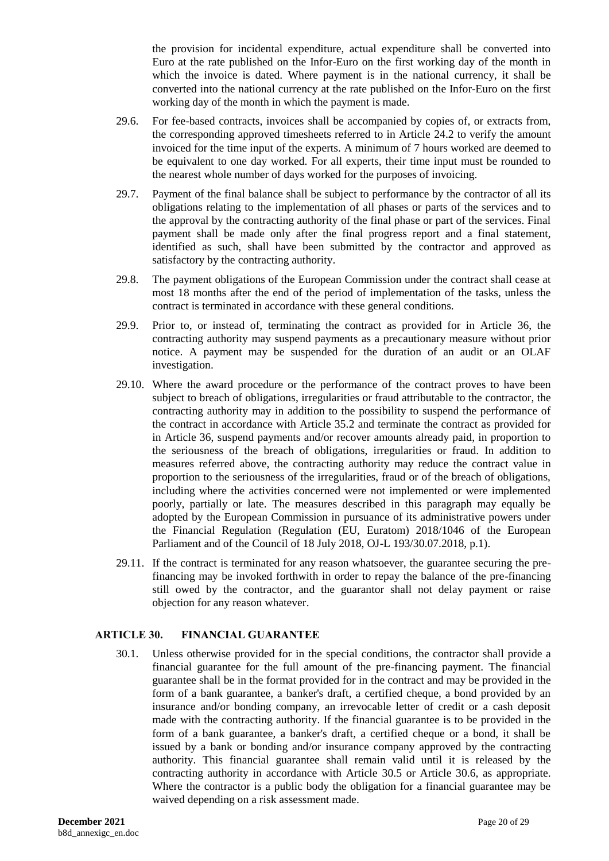the provision for incidental expenditure, actual expenditure shall be converted into Euro at the rate published on the Infor-Euro on the first working day of the month in which the invoice is dated. Where payment is in the national currency, it shall be converted into the national currency at the rate published on the Infor-Euro on the first working day of the month in which the payment is made.

- 29.6. For fee-based contracts, invoices shall be accompanied by copies of, or extracts from, the corresponding approved timesheets referred to in Article [24.2](#page-14-4) to verify the amount invoiced for the time input of the experts. A minimum of 7 hours worked are deemed to be equivalent to one day worked. For all experts, their time input must be rounded to the nearest whole number of days worked for the purposes of invoicing.
- 29.7. Payment of the final balance shall be subject to performance by the contractor of all its obligations relating to the implementation of all phases or parts of the services and to the approval by the contracting authority of the final phase or part of the services. Final payment shall be made only after the final progress report and a final statement, identified as such, shall have been submitted by the contractor and approved as satisfactory by the contracting authority.
- 29.8. The payment obligations of the European Commission under the contract shall cease at most 18 months after the end of the period of implementation of the tasks, unless the contract is terminated in accordance with these general conditions.
- 29.9. Prior to, or instead of, terminating the contract as provided for in Article 36, the contracting authority may suspend payments as a precautionary measure without prior notice. A payment may be suspended for the duration of an audit or an OLAF investigation.
- 29.10. Where the award procedure or the performance of the contract proves to have been subject to breach of obligations, irregularities or fraud attributable to the contractor, the contracting authority may in addition to the possibility to suspend the performance of the contract in accordance with Article 35.2 and terminate the contract as provided for in Article 36, suspend payments and/or recover amounts already paid, in proportion to the seriousness of the breach of obligations, irregularities or fraud. In addition to measures referred above, the contracting authority may reduce the contract value in proportion to the seriousness of the irregularities, fraud or of the breach of obligations, including where the activities concerned were not implemented or were implemented poorly, partially or late. The measures described in this paragraph may equally be adopted by the European Commission in pursuance of its administrative powers under the Financial Regulation (Regulation (EU, Euratom) 2018/1046 of the European Parliament and of the Council of 18 July 2018, OJ-L 193/30.07.2018, p.1).
- 29.11. If the contract is terminated for any reason whatsoever, the guarantee securing the prefinancing may be invoked forthwith in order to repay the balance of the pre-financing still owed by the contractor, and the guarantor shall not delay payment or raise objection for any reason whatever.

# <span id="page-19-0"></span>**ARTICLE 30. FINANCIAL GUARANTEE**

30.1. Unless otherwise provided for in the special conditions, the contractor shall provide a financial guarantee for the full amount of the pre-financing payment. The financial guarantee shall be in the format provided for in the contract and may be provided in the form of a bank guarantee, a banker's draft, a certified cheque, a bond provided by an insurance and/or bonding company, an irrevocable letter of credit or a cash deposit made with the contracting authority. If the financial guarantee is to be provided in the form of a bank guarantee, a banker's draft, a certified cheque or a bond, it shall be issued by a bank or bonding and/or insurance company approved by the contracting authority. This financial guarantee shall remain valid until it is released by the contracting authority in accordance with Article 30.5 or Article 30.6, as appropriate. Where the contractor is a public body the obligation for a financial guarantee may be waived depending on a risk assessment made.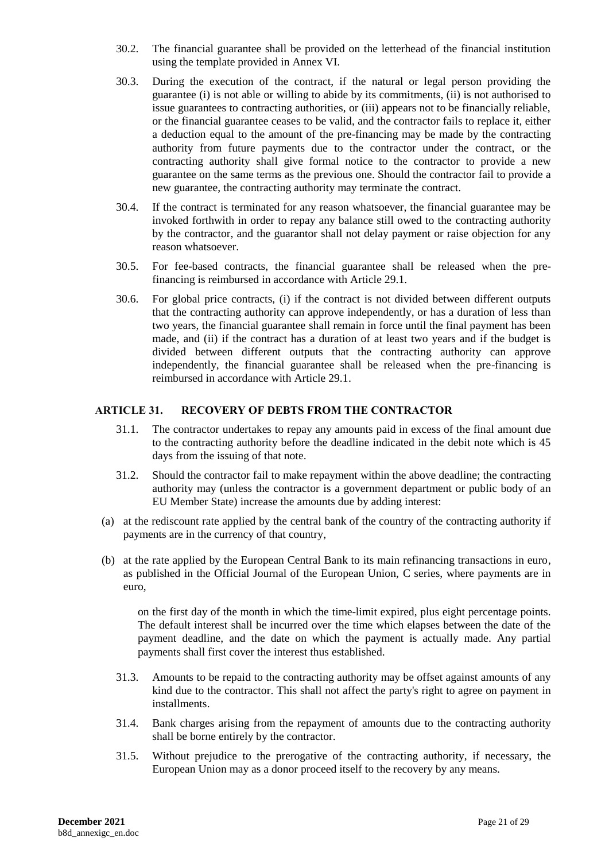- 30.2. The financial guarantee shall be provided on the letterhead of the financial institution using the template provided in Annex VI.
- 30.3. During the execution of the contract, if the natural or legal person providing the guarantee (i) is not able or willing to abide by its commitments, (ii) is not authorised to issue guarantees to contracting authorities, or (iii) appears not to be financially reliable, or the financial guarantee ceases to be valid, and the contractor fails to replace it, either a deduction equal to the amount of the pre-financing may be made by the contracting authority from future payments due to the contractor under the contract, or the contracting authority shall give formal notice to the contractor to provide a new guarantee on the same terms as the previous one. Should the contractor fail to provide a new guarantee, the contracting authority may terminate the contract.
- 30.4. If the contract is terminated for any reason whatsoever, the financial guarantee may be invoked forthwith in order to repay any balance still owed to the contracting authority by the contractor, and the guarantor shall not delay payment or raise objection for any reason whatsoever.
- 30.5. For fee-based contracts, the financial guarantee shall be released when the prefinancing is reimbursed in accordance with Article 29.1.
- 30.6. For global price contracts, (i) if the contract is not divided between different outputs that the contracting authority can approve independently, or has a duration of less than two years, the financial guarantee shall remain in force until the final payment has been made, and (ii) if the contract has a duration of at least two years and if the budget is divided between different outputs that the contracting authority can approve independently, the financial guarantee shall be released when the pre-financing is reimbursed in accordance with Article 29.1.

## <span id="page-20-0"></span>**ARTICLE 31. RECOVERY OF DEBTS FROM THE CONTRACTOR**

- 31.1. The contractor undertakes to repay any amounts paid in excess of the final amount due to the contracting authority before the deadline indicated in the debit note which is 45 days from the issuing of that note.
- 31.2. Should the contractor fail to make repayment within the above deadline; the contracting authority may (unless the contractor is a government department or public body of an EU Member State) increase the amounts due by adding interest:
- (a) at the rediscount rate applied by the central bank of the country of the contracting authority if payments are in the currency of that country,
- (b) at the rate applied by the European Central Bank to its main refinancing transactions in euro, as published in the Official Journal of the European Union, C series, where payments are in euro,

on the first day of the month in which the time-limit expired, plus eight percentage points. The default interest shall be incurred over the time which elapses between the date of the payment deadline, and the date on which the payment is actually made. Any partial payments shall first cover the interest thus established.

- 31.3. Amounts to be repaid to the contracting authority may be offset against amounts of any kind due to the contractor. This shall not affect the party's right to agree on payment in installments.
- 31.4. Bank charges arising from the repayment of amounts due to the contracting authority shall be borne entirely by the contractor.
- 31.5. Without prejudice to the prerogative of the contracting authority, if necessary, the European Union may as a donor proceed itself to the recovery by any means.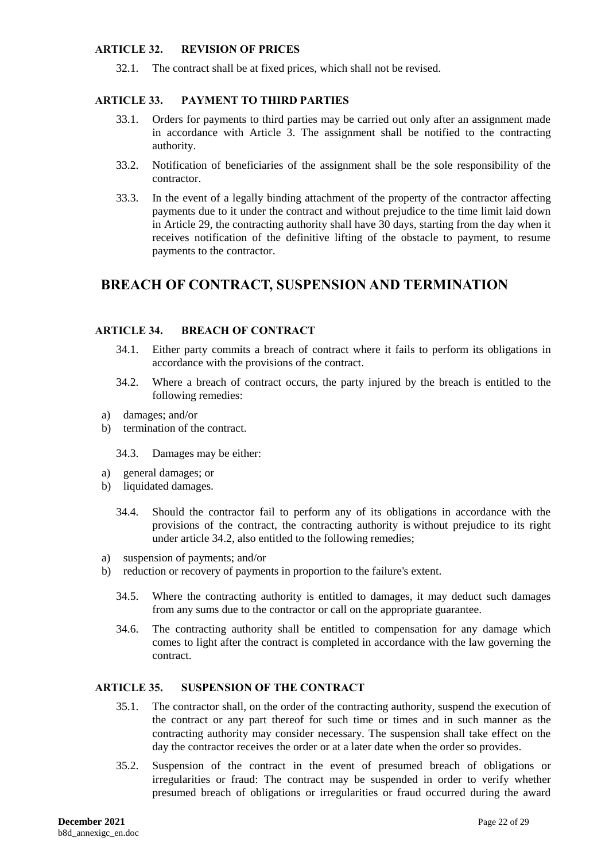#### <span id="page-21-0"></span>**ARTICLE 32. REVISION OF PRICES**

32.1. The contract shall be at fixed prices, which shall not be revised.

#### <span id="page-21-1"></span>**ARTICLE 33. PAYMENT TO THIRD PARTIES**

- 33.1. Orders for payments to third parties may be carried out only after an assignment made in accordance with Article 3. The assignment shall be notified to the contracting authority.
- 33.2. Notification of beneficiaries of the assignment shall be the sole responsibility of the contractor.
- 33.3. In the event of a legally binding attachment of the property of the contractor affecting payments due to it under the contract and without prejudice to the time limit laid down in Article 29, the contracting authority shall have 30 days, starting from the day when it receives notification of the definitive lifting of the obstacle to payment, to resume payments to the contractor.

# **BREACH OF CONTRACT, SUSPENSION AND TERMINATION**

#### <span id="page-21-2"></span>**ARTICLE 34. BREACH OF CONTRACT**

- 34.1. Either party commits a breach of contract where it fails to perform its obligations in accordance with the provisions of the contract.
- 34.2. Where a breach of contract occurs, the party injured by the breach is entitled to the following remedies:
- a) damages; and/or
- b) termination of the contract.

34.3. Damages may be either:

- a) general damages; or
- b) liquidated damages.
	- 34.4. Should the contractor fail to perform any of its obligations in accordance with the provisions of the contract, the contracting authority is without prejudice to its right under article 34.2, also entitled to the following remedies;
- a) suspension of payments; and/or
- b) reduction or recovery of payments in proportion to the failure's extent.
	- 34.5. Where the contracting authority is entitled to damages, it may deduct such damages from any sums due to the contractor or call on the appropriate guarantee.
	- 34.6. The contracting authority shall be entitled to compensation for any damage which comes to light after the contract is completed in accordance with the law governing the contract.

# <span id="page-21-3"></span>**ARTICLE 35. SUSPENSION OF THE CONTRACT**

- 35.1. The contractor shall, on the order of the contracting authority, suspend the execution of the contract or any part thereof for such time or times and in such manner as the contracting authority may consider necessary. The suspension shall take effect on the day the contractor receives the order or at a later date when the order so provides.
- 35.2. Suspension of the contract in the event of presumed breach of obligations or irregularities or fraud: The contract may be suspended in order to verify whether presumed breach of obligations or irregularities or fraud occurred during the award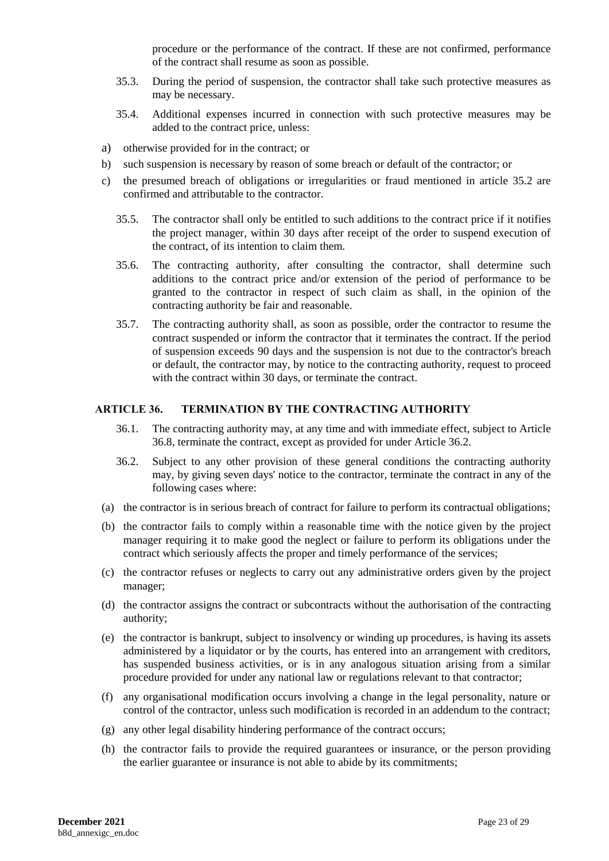procedure or the performance of the contract. If these are not confirmed, performance of the contract shall resume as soon as possible.

- 35.3. During the period of suspension, the contractor shall take such protective measures as may be necessary.
- 35.4. Additional expenses incurred in connection with such protective measures may be added to the contract price, unless:
- a) otherwise provided for in the contract; or
- b) such suspension is necessary by reason of some breach or default of the contractor; or
- c) the presumed breach of obligations or irregularities or fraud mentioned in article 35.2 are confirmed and attributable to the contractor.
	- 35.5. The contractor shall only be entitled to such additions to the contract price if it notifies the project manager, within 30 days after receipt of the order to suspend execution of the contract, of its intention to claim them.
	- 35.6. The contracting authority, after consulting the contractor, shall determine such additions to the contract price and/or extension of the period of performance to be granted to the contractor in respect of such claim as shall, in the opinion of the contracting authority be fair and reasonable.
	- 35.7. The contracting authority shall, as soon as possible, order the contractor to resume the contract suspended or inform the contractor that it terminates the contract. If the period of suspension exceeds 90 days and the suspension is not due to the contractor's breach or default, the contractor may, by notice to the contracting authority, request to proceed with the contract within 30 days, or terminate the contract.

### <span id="page-22-0"></span>**ARTICLE 36. TERMINATION BY THE CONTRACTING AUTHORITY**

- 36.1. The contracting authority may, at any time and with immediate effect, subject to Article 36.8, terminate the contract, except as provided for under Article 36.2.
- <span id="page-22-1"></span>36.2. Subject to any other provision of these general conditions the contracting authority may, by giving seven days' notice to the contractor, terminate the contract in any of the following cases where:
- (a) the contractor is in serious breach of contract for failure to perform its contractual obligations;
- (b) the contractor fails to comply within a reasonable time with the notice given by the project manager requiring it to make good the neglect or failure to perform its obligations under the contract which seriously affects the proper and timely performance of the services;
- (c) the contractor refuses or neglects to carry out any administrative orders given by the project manager;
- (d) the contractor assigns the contract or subcontracts without the authorisation of the contracting authority;
- (e) the contractor is bankrupt, subject to insolvency or winding up procedures, is having its assets administered by a liquidator or by the courts, has entered into an arrangement with creditors, has suspended business activities, or is in any analogous situation arising from a similar procedure provided for under any national law or regulations relevant to that contractor;
- (f) any organisational modification occurs involving a change in the legal personality, nature or control of the contractor, unless such modification is recorded in an addendum to the contract;
- (g) any other legal disability hindering performance of the contract occurs;
- (h) the contractor fails to provide the required guarantees or insurance, or the person providing the earlier guarantee or insurance is not able to abide by its commitments;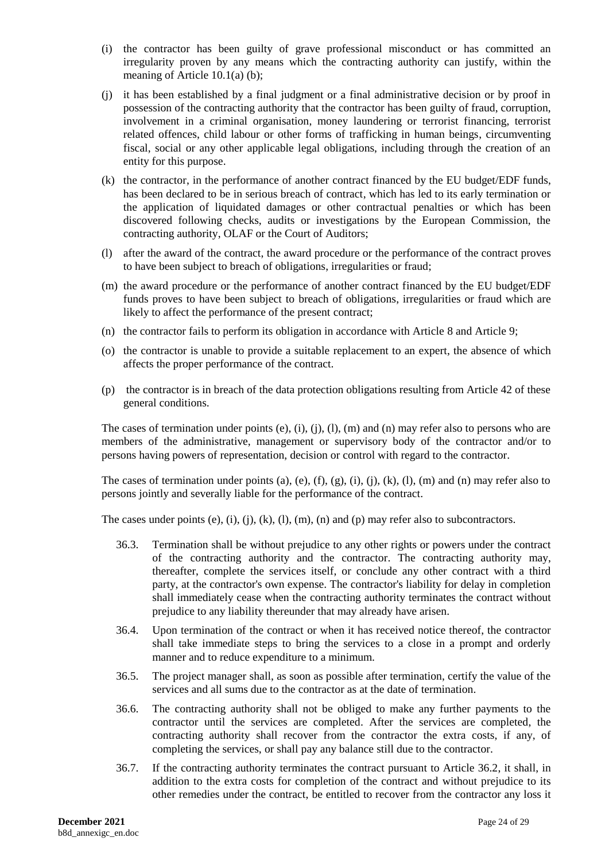- (i) the contractor has been guilty of grave professional misconduct or has committed an irregularity proven by any means which the contracting authority can justify, within the meaning of Article 10.1(a) (b);
- (j) it has been established by a final judgment or a final administrative decision or by proof in possession of the contracting authority that the contractor has been guilty of fraud, corruption, involvement in a criminal organisation, money laundering or terrorist financing, terrorist related offences, child labour or other forms of trafficking in human beings, circumventing fiscal, social or any other applicable legal obligations, including through the creation of an entity for this purpose.
- (k) the contractor, in the performance of another contract financed by the EU budget/EDF funds, has been declared to be in serious breach of contract, which has led to its early termination or the application of liquidated damages or other contractual penalties or which has been discovered following checks, audits or investigations by the European Commission, the contracting authority, OLAF or the Court of Auditors;
- (l) after the award of the contract, the award procedure or the performance of the contract proves to have been subject to breach of obligations, irregularities or fraud;
- (m) the award procedure or the performance of another contract financed by the EU budget/EDF funds proves to have been subject to breach of obligations, irregularities or fraud which are likely to affect the performance of the present contract;
- (n) the contractor fails to perform its obligation in accordance with Article 8 and Article 9;
- (o) the contractor is unable to provide a suitable replacement to an expert, the absence of which affects the proper performance of the contract.
- (p) the contractor is in breach of the data protection obligations resulting from Article 42 of these general conditions.

The cases of termination under points (e), (i), (j), (l), (m) and (n) may refer also to persons who are members of the administrative, management or supervisory body of the contractor and/or to persons having powers of representation, decision or control with regard to the contractor.

The cases of termination under points (a), (e), (f), (g), (i), (j), (k), (l), (m) and (n) may refer also to persons jointly and severally liable for the performance of the contract.

The cases under points  $(e)$ ,  $(i)$ ,  $(j)$ ,  $(k)$ ,  $(l)$ ,  $(m)$ ,  $(n)$  and  $(p)$  may refer also to subcontractors.

- 36.3. Termination shall be without prejudice to any other rights or powers under the contract of the contracting authority and the contractor. The contracting authority may, thereafter, complete the services itself, or conclude any other contract with a third party, at the contractor's own expense. The contractor's liability for delay in completion shall immediately cease when the contracting authority terminates the contract without prejudice to any liability thereunder that may already have arisen.
- 36.4. Upon termination of the contract or when it has received notice thereof, the contractor shall take immediate steps to bring the services to a close in a prompt and orderly manner and to reduce expenditure to a minimum.
- 36.5. The project manager shall, as soon as possible after termination, certify the value of the services and all sums due to the contractor as at the date of termination.
- 36.6. The contracting authority shall not be obliged to make any further payments to the contractor until the services are completed. After the services are completed, the contracting authority shall recover from the contractor the extra costs, if any, of completing the services, or shall pay any balance still due to the contractor.
- 36.7. If the contracting authority terminates the contract pursuant to Article 36.2, it shall, in addition to the extra costs for completion of the contract and without prejudice to its other remedies under the contract, be entitled to recover from the contractor any loss it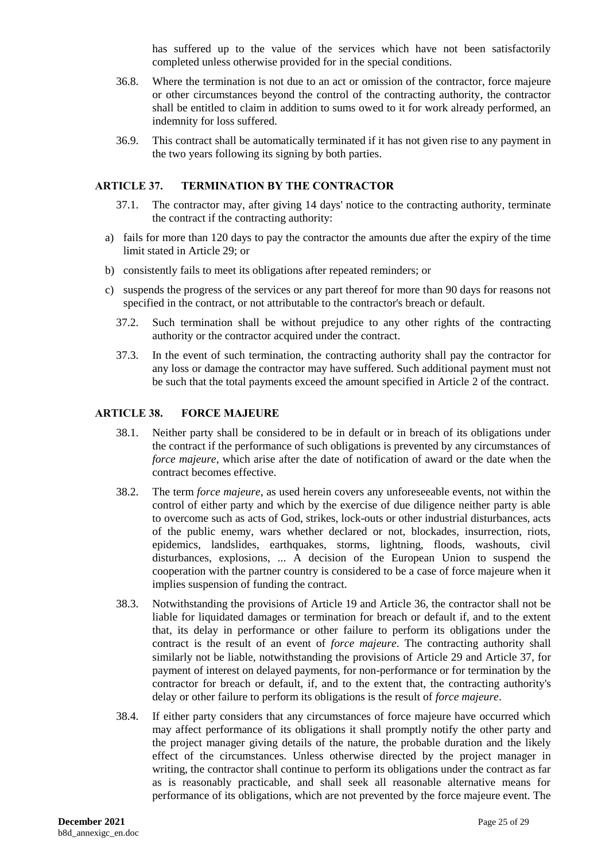has suffered up to the value of the services which have not been satisfactorily completed unless otherwise provided for in the special conditions.

- 36.8. Where the termination is not due to an act or omission of the contractor, force majeure or other circumstances beyond the control of the contracting authority, the contractor shall be entitled to claim in addition to sums owed to it for work already performed, an indemnity for loss suffered.
- 36.9. This contract shall be automatically terminated if it has not given rise to any payment in the two years following its signing by both parties.

### <span id="page-24-0"></span>**ARTICLE 37. TERMINATION BY THE CONTRACTOR**

- 37.1. The contractor may, after giving 14 days' notice to the contracting authority, terminate the contract if the contracting authority:
- a) fails for more than 120 days to pay the contractor the amounts due after the expiry of the time limit stated in Article 29; or
- b) consistently fails to meet its obligations after repeated reminders; or
- c) suspends the progress of the services or any part thereof for more than 90 days for reasons not specified in the contract, or not attributable to the contractor's breach or default.
	- 37.2. Such termination shall be without prejudice to any other rights of the contracting authority or the contractor acquired under the contract.
	- 37.3. In the event of such termination, the contracting authority shall pay the contractor for any loss or damage the contractor may have suffered. Such additional payment must not be such that the total payments exceed the amount specified in Article 2 of the contract.

#### <span id="page-24-1"></span>**ARTICLE 38. FORCE MAJEURE**

- 38.1. Neither party shall be considered to be in default or in breach of its obligations under the contract if the performance of such obligations is prevented by any circumstances of *force majeure*, which arise after the date of notification of award or the date when the contract becomes effective.
- 38.2. The term *force majeure*, as used herein covers any unforeseeable events, not within the control of either party and which by the exercise of due diligence neither party is able to overcome such as acts of God, strikes, lock-outs or other industrial disturbances, acts of the public enemy, wars whether declared or not, blockades, insurrection, riots, epidemics, landslides, earthquakes, storms, lightning, floods, washouts, civil disturbances, explosions, ... A decision of the European Union to suspend the cooperation with the partner country is considered to be a case of force majeure when it implies suspension of funding the contract.
- 38.3. Notwithstanding the provisions of Article 19 and Article 36, the contractor shall not be liable for liquidated damages or termination for breach or default if, and to the extent that, its delay in performance or other failure to perform its obligations under the contract is the result of an event of *force majeure*. The contracting authority shall similarly not be liable, notwithstanding the provisions of Article 29 and Article 37, for payment of interest on delayed payments, for non-performance or for termination by the contractor for breach or default, if, and to the extent that, the contracting authority's delay or other failure to perform its obligations is the result of *force majeure*.
- <span id="page-24-2"></span>38.4. If either party considers that any circumstances of force majeure have occurred which may affect performance of its obligations it shall promptly notify the other party and the project manager giving details of the nature, the probable duration and the likely effect of the circumstances. Unless otherwise directed by the project manager in writing, the contractor shall continue to perform its obligations under the contract as far as is reasonably practicable, and shall seek all reasonable alternative means for performance of its obligations, which are not prevented by the force majeure event. The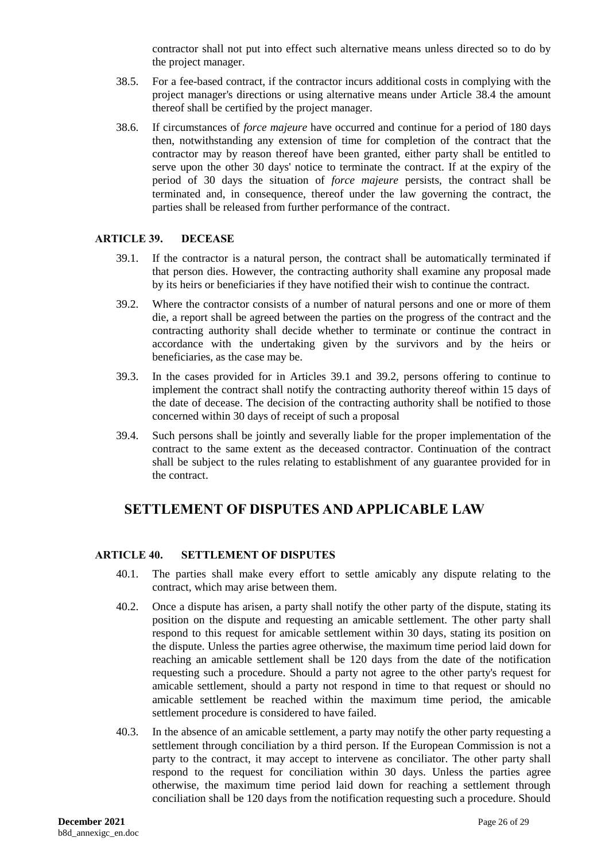contractor shall not put into effect such alternative means unless directed so to do by the project manager.

- 38.5. For a fee-based contract, if the contractor incurs additional costs in complying with the project manager's directions or using alternative means under Article [38.4](#page-24-2) the amount thereof shall be certified by the project manager.
- 38.6. If circumstances of *force majeure* have occurred and continue for a period of 180 days then, notwithstanding any extension of time for completion of the contract that the contractor may by reason thereof have been granted, either party shall be entitled to serve upon the other 30 days' notice to terminate the contract. If at the expiry of the period of 30 days the situation of *force majeure* persists, the contract shall be terminated and, in consequence, thereof under the law governing the contract, the parties shall be released from further performance of the contract.

#### <span id="page-25-0"></span>**ARTICLE 39. DECEASE**

- 39.1. If the contractor is a natural person, the contract shall be automatically terminated if that person dies. However, the contracting authority shall examine any proposal made by its heirs or beneficiaries if they have notified their wish to continue the contract.
- 39.2. Where the contractor consists of a number of natural persons and one or more of them die, a report shall be agreed between the parties on the progress of the contract and the contracting authority shall decide whether to terminate or continue the contract in accordance with the undertaking given by the survivors and by the heirs or beneficiaries, as the case may be.
- 39.3. In the cases provided for in Articles 39.1 and 39.2, persons offering to continue to implement the contract shall notify the contracting authority thereof within 15 days of the date of decease. The decision of the contracting authority shall be notified to those concerned within 30 days of receipt of such a proposal
- 39.4. Such persons shall be jointly and severally liable for the proper implementation of the contract to the same extent as the deceased contractor. Continuation of the contract shall be subject to the rules relating to establishment of any guarantee provided for in the contract.

# **SETTLEMENT OF DISPUTES AND APPLICABLE LAW**

# <span id="page-25-1"></span>**ARTICLE 40. SETTLEMENT OF DISPUTES**

- 40.1. The parties shall make every effort to settle amicably any dispute relating to the contract, which may arise between them.
- 40.2. Once a dispute has arisen, a party shall notify the other party of the dispute, stating its position on the dispute and requesting an amicable settlement. The other party shall respond to this request for amicable settlement within 30 days, stating its position on the dispute. Unless the parties agree otherwise, the maximum time period laid down for reaching an amicable settlement shall be 120 days from the date of the notification requesting such a procedure. Should a party not agree to the other party's request for amicable settlement, should a party not respond in time to that request or should no amicable settlement be reached within the maximum time period, the amicable settlement procedure is considered to have failed.
- 40.3. In the absence of an amicable settlement, a party may notify the other party requesting a settlement through conciliation by a third person. If the European Commission is not a party to the contract, it may accept to intervene as conciliator. The other party shall respond to the request for conciliation within 30 days. Unless the parties agree otherwise, the maximum time period laid down for reaching a settlement through conciliation shall be 120 days from the notification requesting such a procedure. Should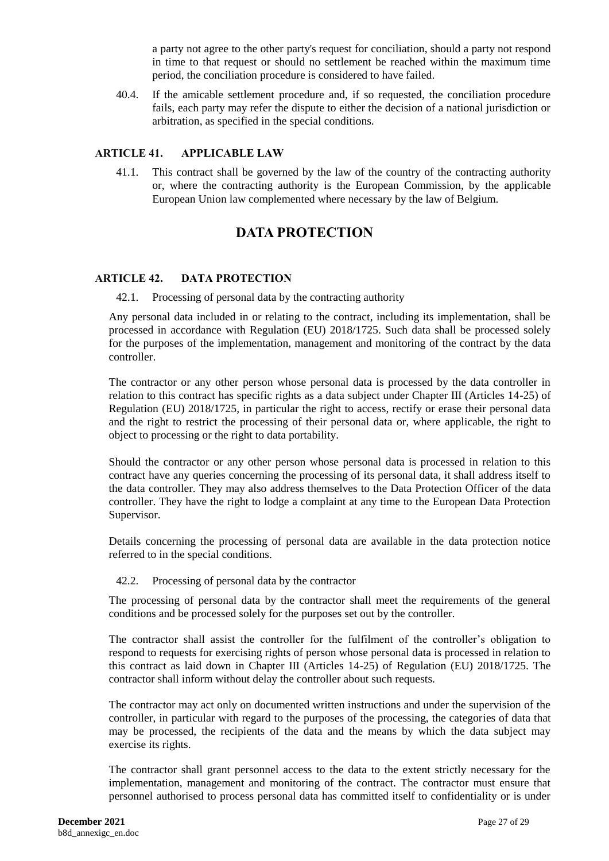a party not agree to the other party's request for conciliation, should a party not respond in time to that request or should no settlement be reached within the maximum time period, the conciliation procedure is considered to have failed.

40.4. If the amicable settlement procedure and, if so requested, the conciliation procedure fails, each party may refer the dispute to either the decision of a national jurisdiction or arbitration, as specified in the special conditions.

### <span id="page-26-0"></span>**ARTICLE 41. APPLICABLE LAW**

41.1. This contract shall be governed by the law of the country of the contracting authority or, where the contracting authority is the European Commission, by the applicable European Union law complemented where necessary by the law of Belgium.

# **DATA PROTECTION**

### <span id="page-26-1"></span>**ARTICLE 42. DATA PROTECTION**

42.1. Processing of personal data by the contracting authority

Any personal data included in or relating to the contract, including its implementation, shall be processed in accordance with Regulation (EU) 2018/1725. Such data shall be processed solely for the purposes of the implementation, management and monitoring of the contract by the data controller.

The contractor or any other person whose personal data is processed by the data controller in relation to this contract has specific rights as a data subject under Chapter III (Articles 14-25) of Regulation (EU) 2018/1725, in particular the right to access, rectify or erase their personal data and the right to restrict the processing of their personal data or, where applicable, the right to object to processing or the right to data portability.

Should the contractor or any other person whose personal data is processed in relation to this contract have any queries concerning the processing of its personal data, it shall address itself to the data controller. They may also address themselves to the Data Protection Officer of the data controller. They have the right to lodge a complaint at any time to the European Data Protection Supervisor.

Details concerning the processing of personal data are available in the data protection notice referred to in the special conditions.

#### 42.2. Processing of personal data by the contractor

The processing of personal data by the contractor shall meet the requirements of the general conditions and be processed solely for the purposes set out by the controller.

The contractor shall assist the controller for the fulfilment of the controller's obligation to respond to requests for exercising rights of person whose personal data is processed in relation to this contract as laid down in Chapter III (Articles 14-25) of Regulation (EU) 2018/1725. The contractor shall inform without delay the controller about such requests.

The contractor may act only on documented written instructions and under the supervision of the controller, in particular with regard to the purposes of the processing, the categories of data that may be processed, the recipients of the data and the means by which the data subject may exercise its rights.

The contractor shall grant personnel access to the data to the extent strictly necessary for the implementation, management and monitoring of the contract. The contractor must ensure that personnel authorised to process personal data has committed itself to confidentiality or is under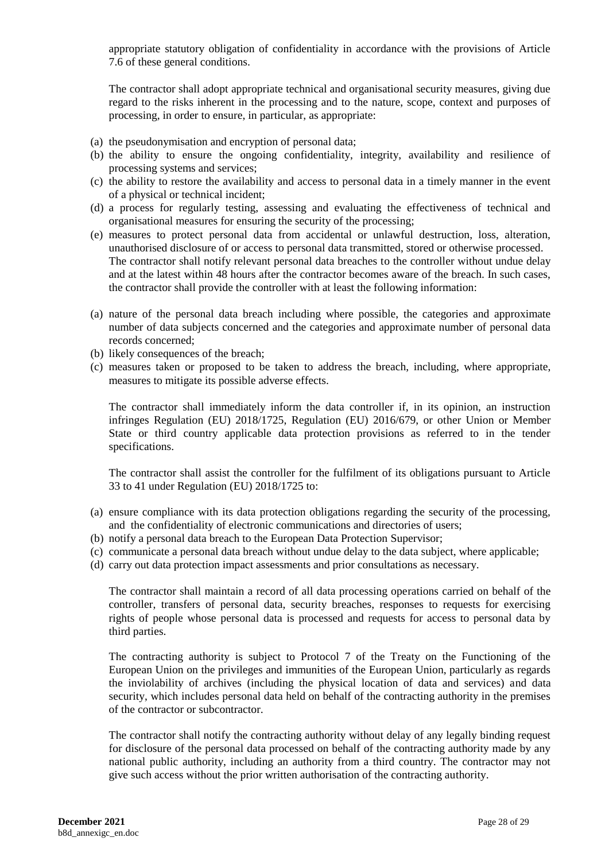appropriate statutory obligation of confidentiality in accordance with the provisions of Article 7.6 of these general conditions.

The contractor shall adopt appropriate technical and organisational security measures, giving due regard to the risks inherent in the processing and to the nature, scope, context and purposes of processing, in order to ensure, in particular, as appropriate:

- (a) the pseudonymisation and encryption of personal data;
- (b) the ability to ensure the ongoing confidentiality, integrity, availability and resilience of processing systems and services;
- (c) the ability to restore the availability and access to personal data in a timely manner in the event of a physical or technical incident;
- (d) a process for regularly testing, assessing and evaluating the effectiveness of technical and organisational measures for ensuring the security of the processing;
- (e) measures to protect personal data from accidental or unlawful destruction, loss, alteration, unauthorised disclosure of or access to personal data transmitted, stored or otherwise processed. The contractor shall notify relevant personal data breaches to the controller without undue delay and at the latest within 48 hours after the contractor becomes aware of the breach. In such cases, the contractor shall provide the controller with at least the following information:
- (a) nature of the personal data breach including where possible, the categories and approximate number of data subjects concerned and the categories and approximate number of personal data records concerned;
- (b) likely consequences of the breach;
- (c) measures taken or proposed to be taken to address the breach, including, where appropriate, measures to mitigate its possible adverse effects.

The contractor shall immediately inform the data controller if, in its opinion, an instruction infringes Regulation (EU) 2018/1725, Regulation (EU) 2016/679, or other Union or Member State or third country applicable data protection provisions as referred to in the tender specifications.

The contractor shall assist the controller for the fulfilment of its obligations pursuant to Article 33 to 41 under Regulation (EU) 2018/1725 to:

- (a) ensure compliance with its data protection obligations regarding the security of the processing, and the confidentiality of electronic communications and directories of users;
- (b) notify a personal data breach to the European Data Protection Supervisor;
- (c) communicate a personal data breach without undue delay to the data subject, where applicable;
- (d) carry out data protection impact assessments and prior consultations as necessary.

The contractor shall maintain a record of all data processing operations carried on behalf of the controller, transfers of personal data, security breaches, responses to requests for exercising rights of people whose personal data is processed and requests for access to personal data by third parties.

The contracting authority is subject to Protocol 7 of the Treaty on the Functioning of the European Union on the privileges and immunities of the European Union, particularly as regards the inviolability of archives (including the physical location of data and services) and data security, which includes personal data held on behalf of the contracting authority in the premises of the contractor or subcontractor.

The contractor shall notify the contracting authority without delay of any legally binding request for disclosure of the personal data processed on behalf of the contracting authority made by any national public authority, including an authority from a third country. The contractor may not give such access without the prior written authorisation of the contracting authority.